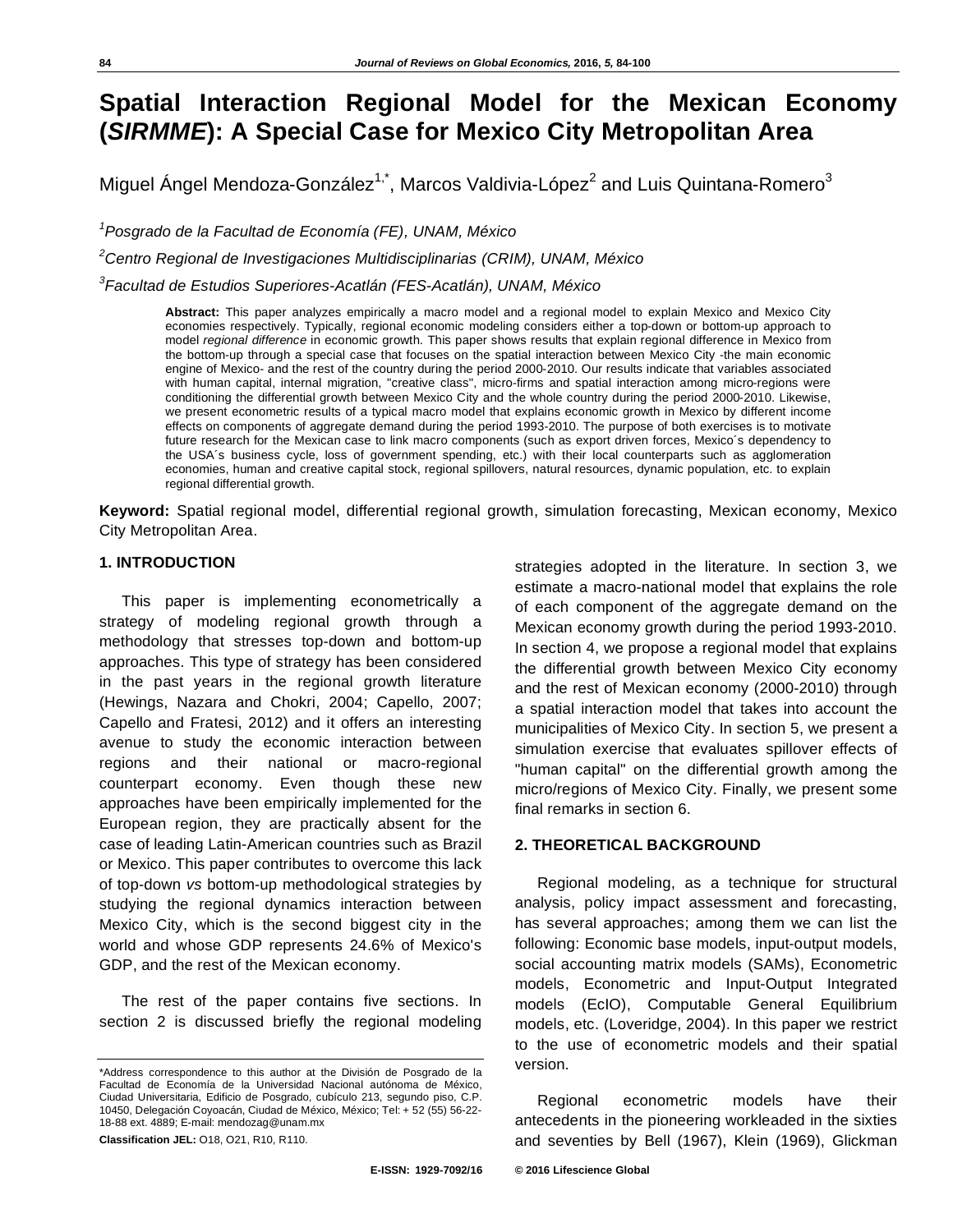# **Spatial Interaction Regional Model for the Mexican Economy (***SIRMME***): A Special Case for Mexico City Metropolitan Area**

Miguel Ángel Mendoza-González $^{1, \star}$ , Marcos Valdivia-López $^2$  and Luis Quintana-Romero $^3$ 

*1 Posgrado de la Facultad de Economía (FE), UNAM, México* 

*2 Centro Regional de Investigaciones Multidisciplinarias (CRIM), UNAM, México* 

*3 Facultad de Estudios Superiores-Acatlán (FES-Acatlán), UNAM, México* 

**Abstract:** This paper analyzes empirically a macro model and a regional model to explain Mexico and Mexico City economies respectively. Typically, regional economic modeling considers either a top-down or bottom-up approach to model *regional difference* in economic growth. This paper shows results that explain regional difference in Mexico from the bottom-up through a special case that focuses on the spatial interaction between Mexico City -the main economic engine of Mexico- and the rest of the country during the period 2000-2010. Our results indicate that variables associated with human capital, internal migration, "creative class", micro-firms and spatial interaction among micro-regions were conditioning the differential growth between Mexico City and the whole country during the period 2000-2010. Likewise, we present econometric results of a typical macro model that explains economic growth in Mexico by different income effects on components of aggregate demand during the period 1993-2010. The purpose of both exercises is to motivate future research for the Mexican case to link macro components (such as export driven forces, Mexico´s dependency to the USA´s business cycle, loss of government spending, etc.) with their local counterparts such as agglomeration economies, human and creative capital stock, regional spillovers, natural resources, dynamic population, etc. to explain regional differential growth.

**Keyword:** Spatial regional model, differential regional growth, simulation forecasting, Mexican economy, Mexico City Metropolitan Area.

# **1. INTRODUCTION**

This paper is implementing econometrically a strategy of modeling regional growth through a methodology that stresses top-down and bottom-up approaches. This type of strategy has been considered in the past years in the regional growth literature (Hewings, Nazara and Chokri, 2004; Capello, 2007; Capello and Fratesi, 2012) and it offers an interesting avenue to study the economic interaction between regions and their national or macro-regional counterpart economy. Even though these new approaches have been empirically implemented for the European region, they are practically absent for the case of leading Latin-American countries such as Brazil or Mexico. This paper contributes to overcome this lack of top-down *vs* bottom-up methodological strategies by studying the regional dynamics interaction between Mexico City, which is the second biggest city in the world and whose GDP represents 24.6% of Mexico's GDP, and the rest of the Mexican economy.

The rest of the paper contains five sections. In section 2 is discussed briefly the regional modeling

**Classification JEL:** O18, O21, R10, R110.

# In section 4, we propose a regional model that explains the differential growth between Mexico City economy and the rest of Mexican economy (2000-2010) through a spatial interaction model that takes into account the municipalities of Mexico City. In section 5, we present a simulation exercise that evaluates spillover effects of "human capital" on the differential growth among the micro/regions of Mexico City. Finally, we present some final remarks in section 6. **2. THEORETICAL BACKGROUND**

strategies adopted in the literature. In section 3, we estimate a macro-national model that explains the role of each component of the aggregate demand on the Mexican economy growth during the period 1993-2010.

Regional modeling, as a technique for structural analysis, policy impact assessment and forecasting, has several approaches; among them we can list the following: Economic base models, input-output models, social accounting matrix models (SAMs), Econometric models, Econometric and Input-Output Integrated models (EcIO), Computable General Equilibrium models, etc. (Loveridge, 2004). In this paper we restrict to the use of econometric models and their spatial version.

Regional econometric models have their antecedents in the pioneering workleaded in the sixties and seventies by Bell (1967), Klein (1969), Glickman

<sup>\*</sup>Address correspondence to this author at the División de Posgrado de la Facultad de Economía de la Universidad Nacional autónoma de México, Ciudad Universitaria, Edificio de Posgrado, cubículo 213, segundo piso, C.P. 10450, Delegación Coyoacán, Ciudad de México, México; Tel: + 52 (55) 56-22- 18-88 ext. 4889; E-mail: mendozag@unam.mx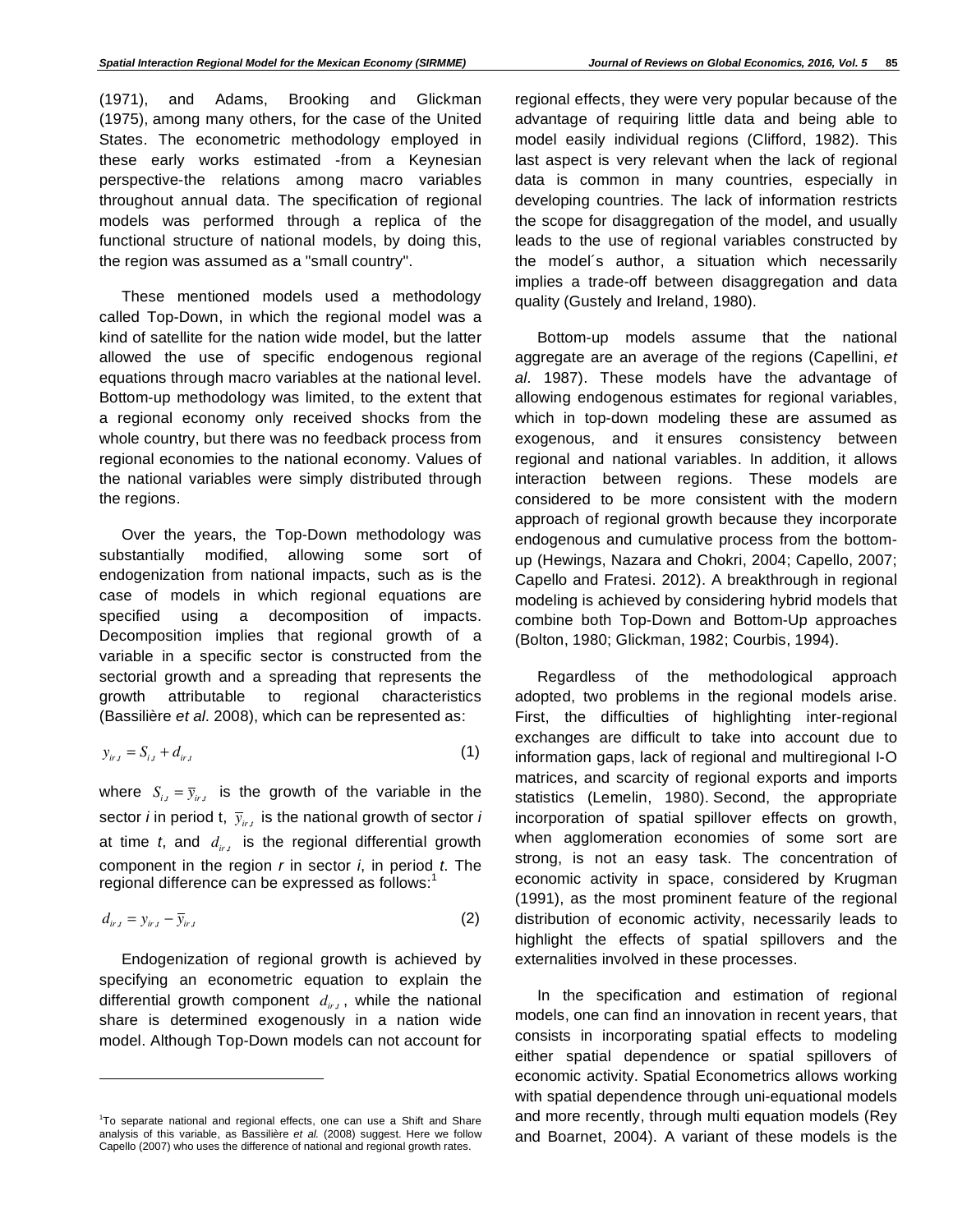(1971), and Adams, Brooking and Glickman (1975), among many others, for the case of the United States. The econometric methodology employed in these early works estimated -from a Keynesian perspective-the relations among macro variables throughout annual data. The specification of regional models was performed through a replica of the functional structure of national models, by doing this, the region was assumed as a "small country".

These mentioned models used a methodology called Top-Down, in which the regional model was a kind of satellite for the nation wide model, but the latter allowed the use of specific endogenous regional equations through macro variables at the national level. Bottom-up methodology was limited, to the extent that a regional economy only received shocks from the whole country, but there was no feedback process from regional economies to the national economy. Values of the national variables were simply distributed through the regions.

Over the years, the Top-Down methodology was substantially modified, allowing some sort of endogenization from national impacts, such as is the case of models in which regional equations are specified using a decomposition of impacts. Decomposition implies that regional growth of a variable in a specific sector is constructed from the sectorial growth and a spreading that represents the growth attributable to regional characteristics (Bassilière *et al*. 2008), which can be represented as:

$$
y_{ir,t} = S_{i,t} + d_{ir,t} \tag{1}
$$

where  $S_{i,t} = \overline{y}_{i,t}$  is the growth of the variable in the sector *i* in period t,  $\bar{y}_{ir,t}$  is the national growth of sector *i* at time *t*, and *dir*,*t* is the regional differential growth component in the region *r* in sector *i*, in period *t*. The regional difference can be expressed as follows:<sup>1</sup>

$$
d_{ir,t} = y_{ir,t} - \overline{y}_{ir,t} \tag{2}
$$

Endogenization of regional growth is achieved by specifying an econometric equation to explain the differential growth component  $d_{irt}$ , while the national share is determined exogenously in a nation wide model. Although Top-Down models can not account for

l

regional effects, they were very popular because of the advantage of requiring little data and being able to model easily individual regions (Clifford, 1982). This last aspect is very relevant when the lack of regional data is common in many countries, especially in developing countries. The lack of information restricts the scope for disaggregation of the model, and usually leads to the use of regional variables constructed by the model´s author, a situation which necessarily implies a trade-off between disaggregation and data quality (Gustely and Ireland, 1980).

Bottom-up models assume that the national aggregate are an average of the regions (Capellini, *et al*. 1987). These models have the advantage of allowing endogenous estimates for regional variables, which in top-down modeling these are assumed as exogenous, and it ensures consistency between regional and national variables. In addition, it allows interaction between regions. These models are considered to be more consistent with the modern approach of regional growth because they incorporate endogenous and cumulative process from the bottomup (Hewings, Nazara and Chokri, 2004; Capello, 2007; Capello and Fratesi. 2012). A breakthrough in regional modeling is achieved by considering hybrid models that combine both Top-Down and Bottom-Up approaches (Bolton, 1980; Glickman, 1982; Courbis, 1994).

Regardless of the methodological approach adopted, two problems in the regional models arise. First, the difficulties of highlighting inter-regional exchanges are difficult to take into account due to information gaps, lack of regional and multiregional I-O matrices, and scarcity of regional exports and imports statistics (Lemelin, 1980). Second, the appropriate incorporation of spatial spillover effects on growth, when agglomeration economies of some sort are strong, is not an easy task. The concentration of economic activity in space, considered by Krugman (1991), as the most prominent feature of the regional distribution of economic activity, necessarily leads to highlight the effects of spatial spillovers and the externalities involved in these processes.

In the specification and estimation of regional models, one can find an innovation in recent years, that consists in incorporating spatial effects to modeling either spatial dependence or spatial spillovers of economic activity. Spatial Econometrics allows working with spatial dependence through uni-equational models and more recently, through multi equation models (Rey and Boarnet, 2004). A variant of these models is the

<sup>&</sup>lt;sup>1</sup>To separate national and regional effects, one can use a Shift and Share analysis of this variable, as Bassilière *et al.* (2008) suggest. Here we follow Capello (2007) who uses the difference of national and regional growth rates.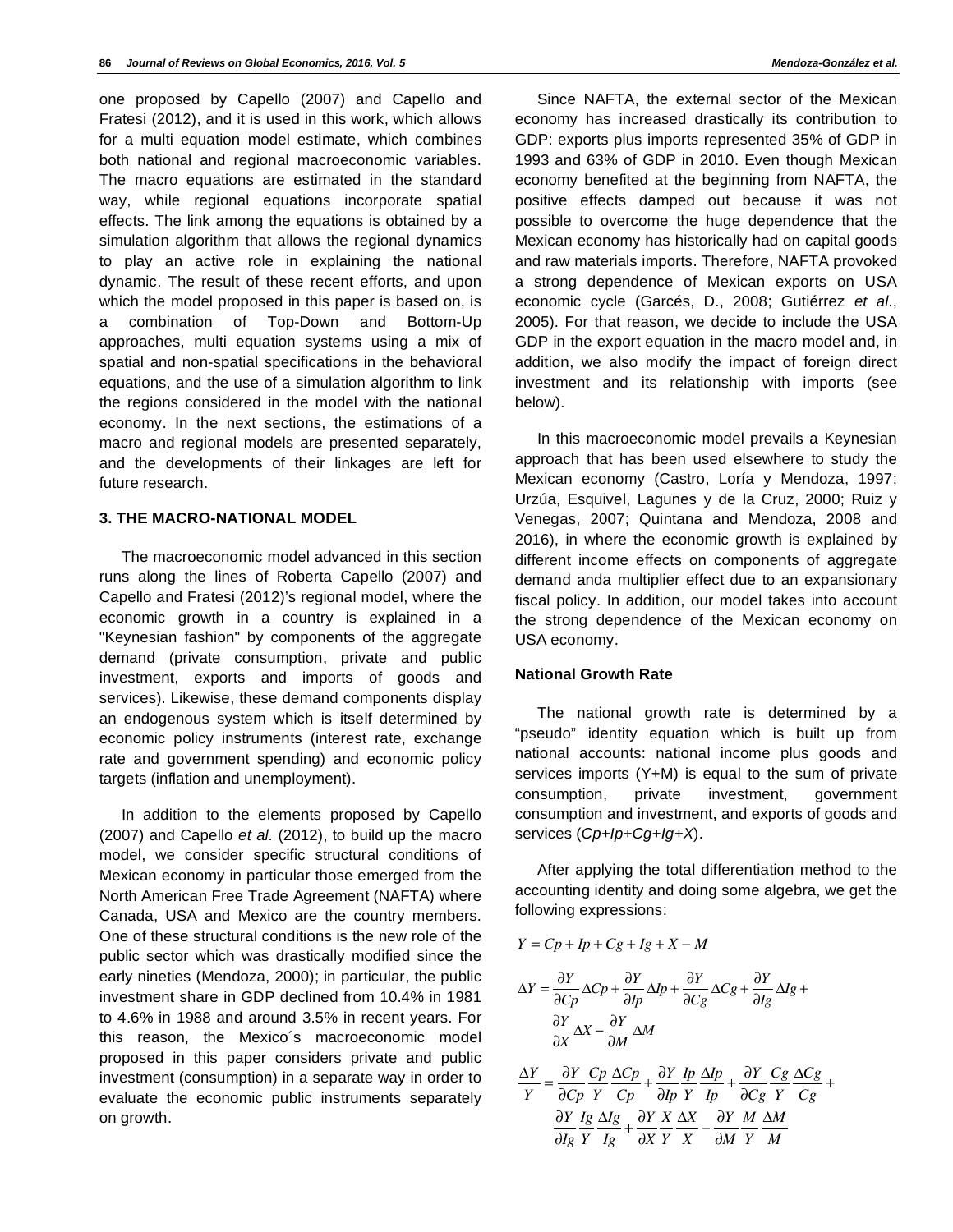one proposed by Capello (2007) and Capello and Fratesi (2012), and it is used in this work, which allows for a multi equation model estimate, which combines both national and regional macroeconomic variables. The macro equations are estimated in the standard way, while regional equations incorporate spatial effects. The link among the equations is obtained by a simulation algorithm that allows the regional dynamics to play an active role in explaining the national dynamic. The result of these recent efforts, and upon which the model proposed in this paper is based on, is a combination of Top-Down and Bottom-Up approaches, multi equation systems using a mix of spatial and non-spatial specifications in the behavioral equations, and the use of a simulation algorithm to link the regions considered in the model with the national economy. In the next sections, the estimations of a macro and regional models are presented separately, and the developments of their linkages are left for future research.

# **3. THE MACRO-NATIONAL MODEL**

The macroeconomic model advanced in this section runs along the lines of Roberta Capello (2007) and Capello and Fratesi (2012)'s regional model, where the economic growth in a country is explained in a "Keynesian fashion" by components of the aggregate demand (private consumption, private and public investment, exports and imports of goods and services). Likewise, these demand components display an endogenous system which is itself determined by economic policy instruments (interest rate, exchange rate and government spending) and economic policy targets (inflation and unemployment).

In addition to the elements proposed by Capello (2007) and Capello *et al.* (2012), to build up the macro model, we consider specific structural conditions of Mexican economy in particular those emerged from the North American Free Trade Agreement (NAFTA) where Canada, USA and Mexico are the country members. One of these structural conditions is the new role of the public sector which was drastically modified since the early nineties (Mendoza, 2000); in particular, the public investment share in GDP declined from 10.4% in 1981 to 4.6% in 1988 and around 3.5% in recent years. For this reason, the Mexico´s macroeconomic model proposed in this paper considers private and public investment (consumption) in a separate way in order to evaluate the economic public instruments separately on growth.

Since NAFTA, the external sector of the Mexican economy has increased drastically its contribution to GDP: exports plus imports represented 35% of GDP in 1993 and 63% of GDP in 2010. Even though Mexican economy benefited at the beginning from NAFTA, the positive effects damped out because it was not possible to overcome the huge dependence that the Mexican economy has historically had on capital goods and raw materials imports. Therefore, NAFTA provoked a strong dependence of Mexican exports on USA economic cycle (Garcés, D., 2008; Gutiérrez *et al*., 2005). For that reason, we decide to include the USA GDP in the export equation in the macro model and, in addition, we also modify the impact of foreign direct investment and its relationship with imports (see below).

In this macroeconomic model prevails a Keynesian approach that has been used elsewhere to study the Mexican economy (Castro, Loría y Mendoza, 1997; Urzúa, Esquivel, Lagunes y de la Cruz, 2000; Ruiz y Venegas, 2007; Quintana and Mendoza, 2008 and 2016), in where the economic growth is explained by different income effects on components of aggregate demand anda multiplier effect due to an expansionary fiscal policy. In addition, our model takes into account the strong dependence of the Mexican economy on USA economy.

#### **National Growth Rate**

The national growth rate is determined by a "pseudo" identity equation which is built up from national accounts: national income plus goods and services imports (Y+M) is equal to the sum of private consumption, private investment, government consumption and investment, and exports of goods and services (*Cp+Ip+Cg+Ig+X*).

After applying the total differentiation method to the accounting identity and doing some algebra, we get the following expressions:

$$
Y = Cp + Ip + Cg + Ig + X - M
$$

$$
\Delta Y = \frac{\partial Y}{\partial C_p} \Delta C_p + \frac{\partial Y}{\partial I_p} \Delta I_p + \frac{\partial Y}{\partial C_g} \Delta C_g + \frac{\partial Y}{\partial I_g} \Delta I_g +
$$

$$
\frac{\partial Y}{\partial X} \Delta X - \frac{\partial Y}{\partial M} \Delta M
$$

$$
\frac{\Delta Y}{Y} = \frac{\partial Y}{\partial C_p} \frac{C_p}{Y} \frac{\Delta C_p}{C_p} + \frac{\partial Y}{\partial I_p} \frac{I_p}{Y} \frac{\Delta I_p}{I_p} + \frac{\partial Y}{\partial C_g} \frac{C_g}{Y} \frac{\Delta C_g}{C_g} + \frac{\partial Y}{\partial I_g} \frac{I_g}{Y} \frac{\Delta I_g}{I_g} + \frac{\partial Y}{\partial X} \frac{X}{Y} \frac{\Delta X}{X} - \frac{\partial Y}{\partial M} \frac{M}{Y} \frac{\Delta M}{M}
$$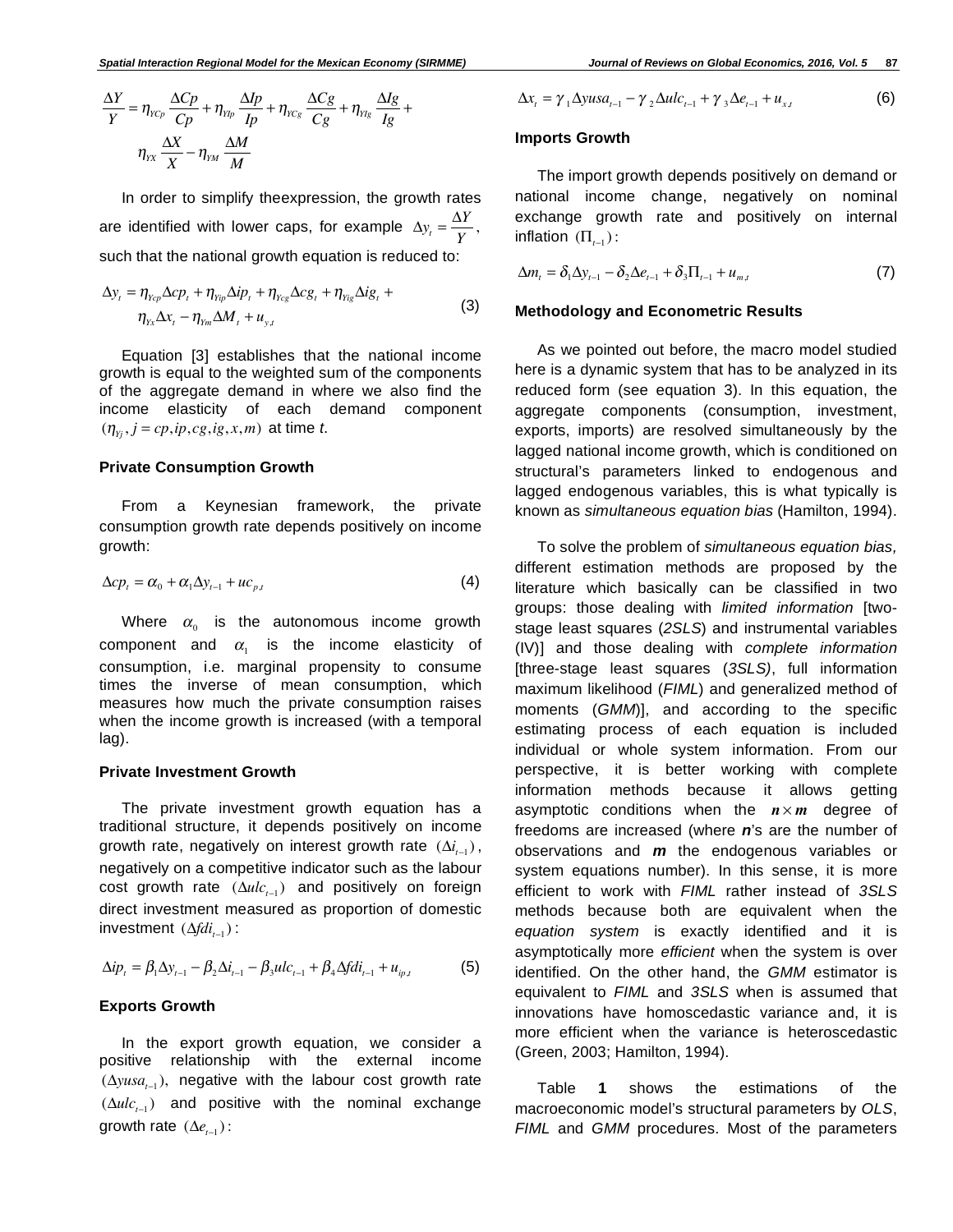In order to simplify theexpression, the growth rates are identified with lower caps, for example  $\Delta y_t = \frac{\Delta Y}{Y}$ , such that the national growth equation is reduced to:

$$
\Delta y_t = \eta_{Y_{cp}} \Delta cp_t + \eta_{Y_{rp}} \Delta ip_t + \eta_{Y_{cg}} \Delta cg_t + \eta_{Y_{rg}} \Delta ig_t + \eta_{Y_{x}} \Delta x_t - \eta_{Y_{rn}} \Delta M_t + u_{y,t}
$$
\n(3)

Equation [3] establishes that the national income growth is equal to the weighted sum of the components of the aggregate demand in where we also find the income elasticity of each demand component  $(\eta_{Y_i}, j = cp, ip, cg, ig, x, m)$  at time *t*.

#### **Private Consumption Growth**

From a Keynesian framework, the private consumption growth rate depends positively on income growth:

$$
\Delta cp_t = \alpha_0 + \alpha_1 \Delta y_{t-1} + u c_{p,t} \tag{4}
$$

Where  $\alpha_0$  is the autonomous income growth component and  $\alpha_i$  is the income elasticity of consumption, i.e. marginal propensity to consume times the inverse of mean consumption, which measures how much the private consumption raises when the income growth is increased (with a temporal lag).

#### **Private Investment Growth**

The private investment growth equation has a traditional structure, it depends positively on income growth rate, negatively on interest growth rate  $(\Delta i_{t-1})$ , negatively on a competitive indicator such as the labour cost growth rate  $(\Delta ulc_{t-1})$  and positively on foreign direct investment measured as proportion of domestic investment ( $\Delta f d i_{t-1}$ ):

$$
\Delta i p_t = \beta_1 \Delta y_{t-1} - \beta_2 \Delta i_{t-1} - \beta_3 u l c_{t-1} + \beta_4 \Delta f d i_{t-1} + u_{ip,t}
$$
(5)

#### **Exports Growth**

In the export growth equation, we consider a positive relationship with the external income  $(\Delta y u s a_{t-1})$ , negative with the labour cost growth rate  $(\Delta ulc_{t-1})$  and positive with the nominal exchange growth rate  $(\Delta e_{t-1})$ :

$$
\Delta x_t = \gamma_1 \Delta y u s a_{t-1} - \gamma_2 \Delta u l c_{t-1} + \gamma_3 \Delta e_{t-1} + u_{x,t} \tag{6}
$$

#### **Imports Growth**

The import growth depends positively on demand or national income change, negatively on nominal exchange growth rate and positively on internal inflation  $(\Pi_{t-1})$ :

$$
\Delta m_t = \delta_1 \Delta y_{t-1} - \delta_2 \Delta e_{t-1} + \delta_3 \Pi_{t-1} + u_{m,t} \tag{7}
$$

#### **Methodology and Econometric Results**

As we pointed out before, the macro model studied here is a dynamic system that has to be analyzed in its reduced form (see equation 3). In this equation, the aggregate components (consumption, investment, exports, imports) are resolved simultaneously by the lagged national income growth, which is conditioned on structural's parameters linked to endogenous and lagged endogenous variables, this is what typically is known as *simultaneous equation bias* (Hamilton, 1994).

To solve the problem of *simultaneous equation bias,*  different estimation methods are proposed by the literature which basically can be classified in two groups: those dealing with *limited information* [twostage least squares (*2SLS*) and instrumental variables (IV)] and those dealing with *complete information* [three-stage least squares (*3SLS)*, full information maximum likelihood (*FIML*) and generalized method of moments (*GMM*)], and according to the specific estimating process of each equation is included individual or whole system information. From our perspective, it is better working with complete information methods because it allows getting asymptotic conditions when the  $n \times m$  degree of freedoms are increased (where *n*'s are the number of observations and *m* the endogenous variables or system equations number). In this sense, it is more efficient to work with *FIML* rather instead of *3SLS* methods because both are equivalent when the *equation system* is exactly identified and it is asymptotically more *efficient* when the system is over identified. On the other hand, the *GMM* estimator is equivalent to *FIML* and *3SLS* when is assumed that innovations have homoscedastic variance and, it is more efficient when the variance is heteroscedastic (Green, 2003; Hamilton, 1994).

Table **1** shows the estimations of the macroeconomic model's structural parameters by *OLS*, *FIML* and *GMM* procedures. Most of the parameters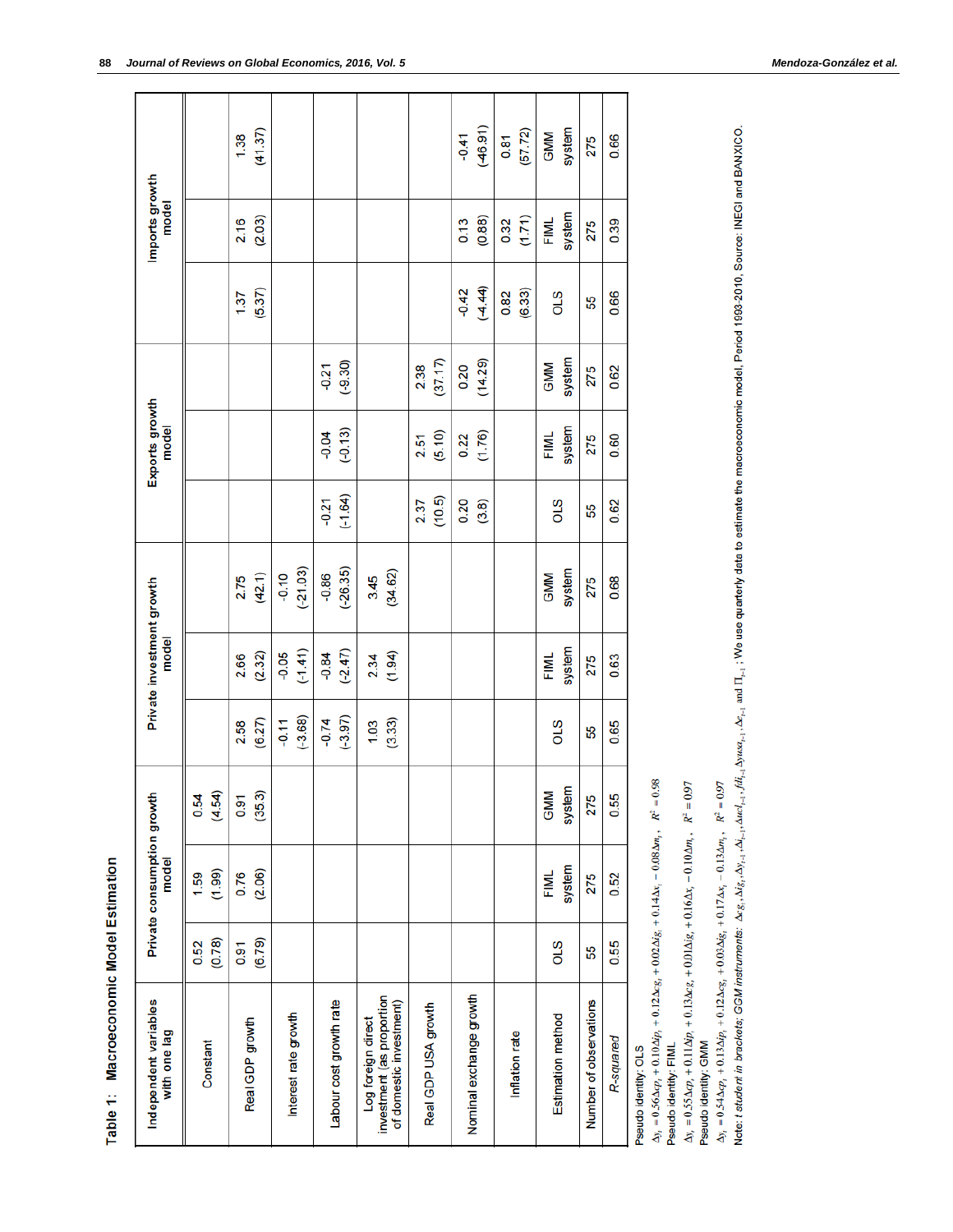| Independent variables<br>with one lag                                      |                | Private consumption growth<br>model |                                         |                      | Private investment growth<br>model |                       |                      | Exports growth<br>model |                      |                   | Imports growth<br>model |                      |
|----------------------------------------------------------------------------|----------------|-------------------------------------|-----------------------------------------|----------------------|------------------------------------|-----------------------|----------------------|-------------------------|----------------------|-------------------|-------------------------|----------------------|
| Constant                                                                   | (0.78)<br>0.52 | (1.99)<br>1.59                      | $-54$<br>0.54<br>$\widehat{\mathbf{z}}$ |                      |                                    |                       |                      |                         |                      |                   |                         |                      |
| Real GDP growth                                                            | (6.79)<br>0.91 | (2.06)<br>0.76                      | (35.3)<br>0.91                          | (6.27)<br>2.58       | (2.32)<br>2.66                     | (42.1)<br>2.75        |                      |                         |                      | (5.37)<br>1.37    | (2.03)<br>2.16          | (41.37)<br>1.38      |
| Interest rate growth                                                       |                |                                     |                                         | $(-3.68)$<br>$-0.11$ | $(-1.41)$<br>$-0.05$               | $(-21.03)$<br>$-0.10$ |                      |                         |                      |                   |                         |                      |
| Labour cost growth rate                                                    |                |                                     |                                         | $(-3.97)$<br>$-0.74$ | $(-2.47)$<br>$-0.84$               | $(-26.35)$<br>$-0.86$ | $(-1.64)$<br>$-0.21$ | $(-0.13)$<br>$-0.04$    | $(-9.30)$<br>$-0.21$ |                   |                         |                      |
| investment (as proportion<br>of domestic investment)<br>Log foreign direct |                |                                     |                                         | (3.33)<br>1.03       | (1.94)<br>2.34                     | (34.62)<br>3.45       |                      |                         |                      |                   |                         |                      |
| Real GDP USA growth                                                        |                |                                     |                                         |                      |                                    |                       | (10.5)<br>2.37       | (5.10)<br>2.51          | (37.17)<br>2.38      |                   |                         |                      |
| Nominal exchange growth                                                    |                |                                     |                                         |                      |                                    |                       | 0.20<br>(3.8)        | (1.76)<br>0.22          | (14.29)<br>0.20      | (4.44)<br>$-0.42$ | (0.88)<br>0.13          | (46.91)<br>$-0.41$   |
| Inflation rate                                                             |                |                                     |                                         |                      |                                    |                       |                      |                         |                      | (6.33)<br>0.82    | (1.71)<br>0.32          | (57.72)<br>0.81      |
| Estimation method                                                          | STO            | system<br><b>FIML</b>               | system<br><b>GMM</b>                    | STO                  | system<br><b>FIML</b>              | system<br><b>GMM</b>  | STO                  | system<br><b>FIML</b>   | system<br><b>GMM</b> | STO               | system<br><b>FIML</b>   | system<br><b>GMM</b> |
| Number of observations                                                     | 55             | 275                                 | 275                                     | Ъ                    | 275                                | 275                   | 55                   | 275                     | 275                  | 55                | 275                     | 275                  |
| R-squared                                                                  | 0.55           | 0.52                                | <b>1.55</b>                             | 0.65                 | 0.63                               | 0.68                  | 0.62                 | 0.60                    | 0.62                 | 0.66              | 0.39                    | 0.66                 |
| Pseudo identity: OLS                                                       | $\frac{1}{2}$  | i<br>$\ddot{\phantom{a}}$           | ì                                       |                      |                                    |                       |                      |                         |                      |                   |                         |                      |

Table 1: Macroeconomic Model Estimation

 $\Delta y_i = 0.56 \Delta cp_i + 0.10 \Delta ip_i + 0.12 \Delta cg_i + 0.02 \Delta ig_i + 0.14 \Delta x_i - 0.08 \Delta m_i$ ,  $R^2 = 0.98$ 

Pseudo identity: FIML

 $\Delta y_i = 0.55 \Delta cp_i + 0.11 \Delta ip_i + 0.13 \Delta cg_i + 0.01 \Delta ig_i + 0.16 \Delta x_i - 0.10 \Delta m_i$ ,  $R^2 = 0.97$ <br>Pseudo identity: GMM

 $\Delta y_i = 0.54 \Delta cp_i + 0.13 \Delta ip_i + 0.12 \Delta cg_i + 0.03 \Delta ig_i + 0.17 \Delta x_i - 0.13 \Delta m_i,$ ,  $R^2 = 0.97$ 

Note: t student in brackets; GGM instruments:  $\Delta x_{8i}$ ,  $\Delta y_{j+1}, \Delta y_{d+1}$ ,  $\Delta u$ ,  $\Delta y_{d+1}$ ,  $\Delta u$ ,  $\Delta y_{d+1}$ ,  $\Delta y_{d+2}$ ,  $\Delta y_{d+2}$ ,  $\Delta y_{d+1}$ ,  $\Delta y_{d+2}$ , and  $\Pi_{j+1}$ ,  $\Delta y_{d+1}$ ,  $\Delta y_{d+2}$ , and  $\Pi_{j+1}$ ,  $\Delta y_{$ 

I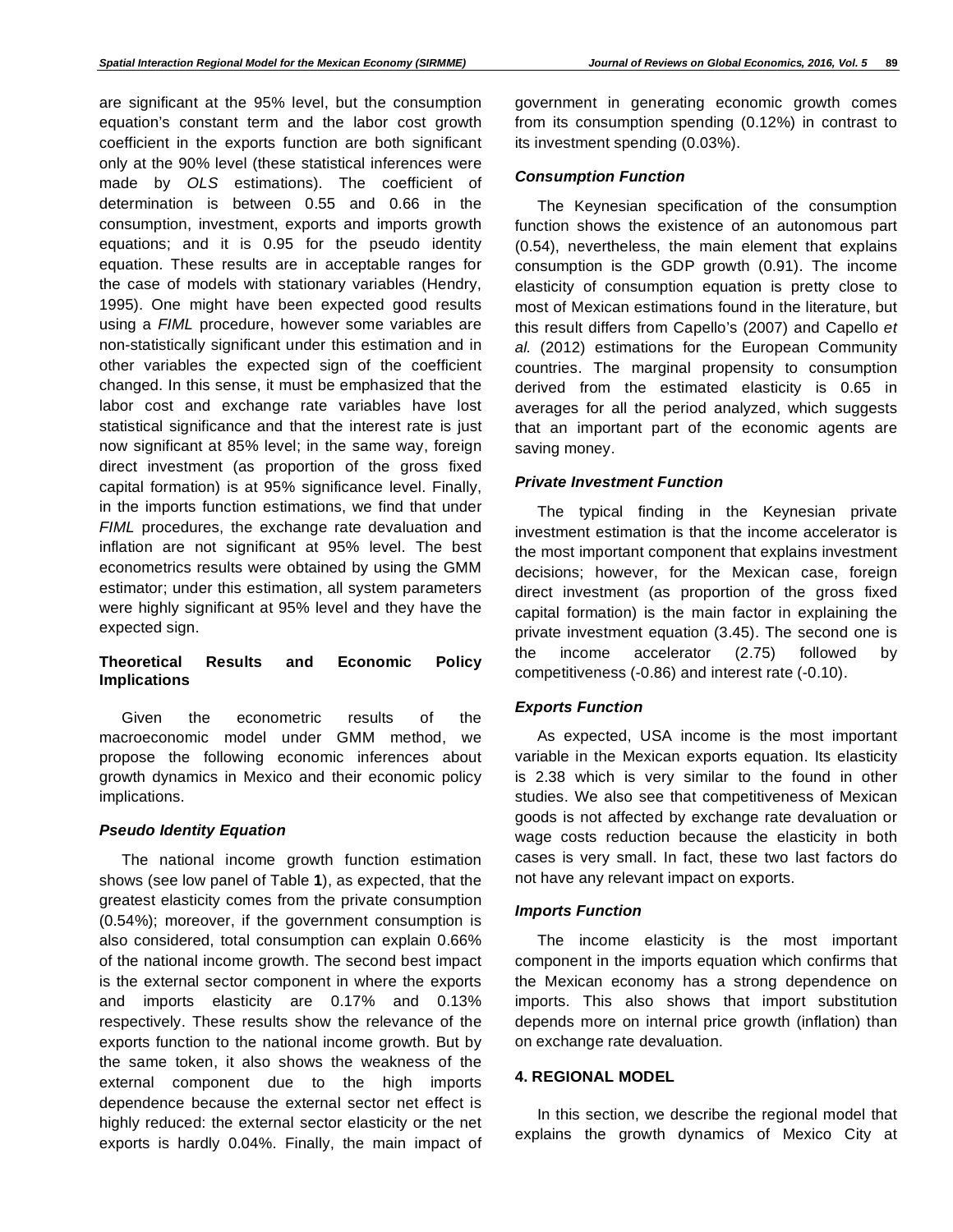are significant at the 95% level, but the consumption equation's constant term and the labor cost growth coefficient in the exports function are both significant only at the 90% level (these statistical inferences were made by *OLS* estimations). The coefficient of determination is between 0.55 and 0.66 in the consumption, investment, exports and imports growth equations; and it is 0.95 for the pseudo identity equation. These results are in acceptable ranges for the case of models with stationary variables (Hendry, 1995). One might have been expected good results using a *FIML* procedure, however some variables are non-statistically significant under this estimation and in other variables the expected sign of the coefficient changed. In this sense, it must be emphasized that the labor cost and exchange rate variables have lost statistical significance and that the interest rate is just now significant at 85% level; in the same way, foreign direct investment (as proportion of the gross fixed capital formation) is at 95% significance level. Finally, in the imports function estimations, we find that under *FIML* procedures, the exchange rate devaluation and inflation are not significant at 95% level. The best econometrics results were obtained by using the GMM estimator; under this estimation, all system parameters were highly significant at 95% level and they have the expected sign.

# **Theoretical Results and Economic Policy Implications**

Given the econometric results of the macroeconomic model under GMM method, we propose the following economic inferences about growth dynamics in Mexico and their economic policy implications.

## *Pseudo Identity Equation*

The national income growth function estimation shows (see low panel of Table **1**), as expected, that the greatest elasticity comes from the private consumption (0.54%); moreover, if the government consumption is also considered, total consumption can explain 0.66% of the national income growth. The second best impact is the external sector component in where the exports and imports elasticity are 0.17% and 0.13% respectively. These results show the relevance of the exports function to the national income growth. But by the same token, it also shows the weakness of the external component due to the high imports dependence because the external sector net effect is highly reduced: the external sector elasticity or the net exports is hardly 0.04%. Finally, the main impact of

# *Consumption Function*

The Keynesian specification of the consumption function shows the existence of an autonomous part (0.54), nevertheless, the main element that explains consumption is the GDP growth (0.91). The income elasticity of consumption equation is pretty close to most of Mexican estimations found in the literature, but this result differs from Capello's (2007) and Capello *et al.* (2012) estimations for the European Community countries. The marginal propensity to consumption derived from the estimated elasticity is 0.65 in averages for all the period analyzed, which suggests that an important part of the economic agents are saving money.

# *Private Investment Function*

The typical finding in the Keynesian private investment estimation is that the income accelerator is the most important component that explains investment decisions; however, for the Mexican case, foreign direct investment (as proportion of the gross fixed capital formation) is the main factor in explaining the private investment equation (3.45). The second one is the income accelerator (2.75) followed by competitiveness (-0.86) and interest rate (-0.10).

# *Exports Function*

As expected, USA income is the most important variable in the Mexican exports equation. Its elasticity is 2.38 which is very similar to the found in other studies. We also see that competitiveness of Mexican goods is not affected by exchange rate devaluation or wage costs reduction because the elasticity in both cases is very small. In fact, these two last factors do not have any relevant impact on exports.

#### *Imports Function*

The income elasticity is the most important component in the imports equation which confirms that the Mexican economy has a strong dependence on imports. This also shows that import substitution depends more on internal price growth (inflation) than on exchange rate devaluation.

# **4. REGIONAL MODEL**

In this section, we describe the regional model that explains the growth dynamics of Mexico City at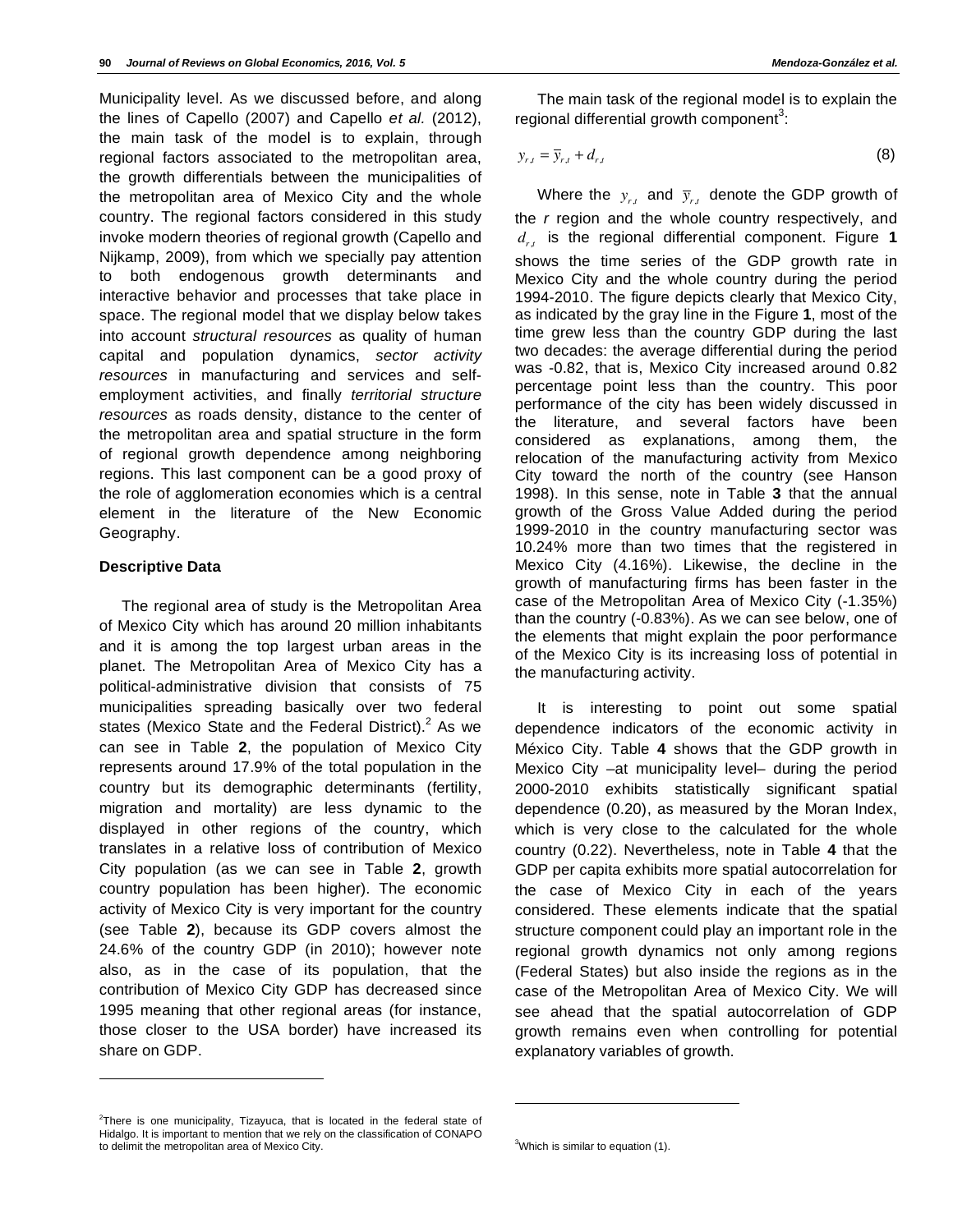Municipality level. As we discussed before, and along the lines of Capello (2007) and Capello *et al.* (2012), the main task of the model is to explain, through regional factors associated to the metropolitan area, the growth differentials between the municipalities of the metropolitan area of Mexico City and the whole country. The regional factors considered in this study invoke modern theories of regional growth (Capello and Nijkamp, 2009), from which we specially pay attention to both endogenous growth determinants and interactive behavior and processes that take place in space. The regional model that we display below takes into account *structural resources* as quality of human capital and population dynamics, *sector activity resources* in manufacturing and services and selfemployment activities, and finally *territorial structure resources* as roads density, distance to the center of the metropolitan area and spatial structure in the form of regional growth dependence among neighboring regions. This last component can be a good proxy of the role of agglomeration economies which is a central element in the literature of the New Economic Geography.

#### **Descriptive Data**

l

The regional area of study is the Metropolitan Area of Mexico City which has around 20 million inhabitants and it is among the top largest urban areas in the planet. The Metropolitan Area of Mexico City has a political-administrative division that consists of 75 municipalities spreading basically over two federal states (Mexico State and the Federal District). $2$  As we can see in Table **2**, the population of Mexico City represents around 17.9% of the total population in the country but its demographic determinants (fertility, migration and mortality) are less dynamic to the displayed in other regions of the country, which translates in a relative loss of contribution of Mexico City population (as we can see in Table **2**, growth country population has been higher). The economic activity of Mexico City is very important for the country (see Table **2**), because its GDP covers almost the 24.6% of the country GDP (in 2010); however note also, as in the case of its population, that the contribution of Mexico City GDP has decreased since 1995 meaning that other regional areas (for instance, those closer to the USA border) have increased its share on GDP.

 $2$ There is one municipality, Tizayuca, that is located in the federal state of Hidalgo. It is important to mention that we rely on the classification of CONAPO to delimit the metropolitan area of Mexico City.

The main task of the regional model is to explain the regional differential growth component<sup>3</sup>:

$$
y_{r,t} = \overline{y}_{r,t} + d_{r,t} \tag{8}
$$

Where the  $y_{r,t}$  and  $\overline{y}_{r,t}$  denote the GDP growth of the *r* region and the whole country respectively, and *dr*,*t* is the regional differential component. Figure **1** shows the time series of the GDP growth rate in Mexico City and the whole country during the period 1994-2010. The figure depicts clearly that Mexico City, as indicated by the gray line in the Figure **1**, most of the time grew less than the country GDP during the last two decades: the average differential during the period was -0.82, that is, Mexico City increased around 0.82 percentage point less than the country. This poor performance of the city has been widely discussed in the literature, and several factors have been considered as explanations, among them, the relocation of the manufacturing activity from Mexico City toward the north of the country (see Hanson 1998). In this sense, note in Table **3** that the annual growth of the Gross Value Added during the period 1999-2010 in the country manufacturing sector was 10.24% more than two times that the registered in Mexico City (4.16%). Likewise, the decline in the growth of manufacturing firms has been faster in the case of the Metropolitan Area of Mexico City (-1.35%) than the country (-0.83%). As we can see below, one of the elements that might explain the poor performance of the Mexico City is its increasing loss of potential in the manufacturing activity.

It is interesting to point out some spatial dependence indicators of the economic activity in México City. Table **4** shows that the GDP growth in Mexico City –at municipality level– during the period 2000-2010 exhibits statistically significant spatial dependence (0.20), as measured by the Moran Index, which is very close to the calculated for the whole country (0.22). Nevertheless, note in Table **4** that the GDP per capita exhibits more spatial autocorrelation for the case of Mexico City in each of the years considered. These elements indicate that the spatial structure component could play an important role in the regional growth dynamics not only among regions (Federal States) but also inside the regions as in the case of the Metropolitan Area of Mexico City. We will see ahead that the spatial autocorrelation of GDP growth remains even when controlling for potential explanatory variables of growth.

l

<sup>&</sup>lt;sup>3</sup>Which is similar to equation (1).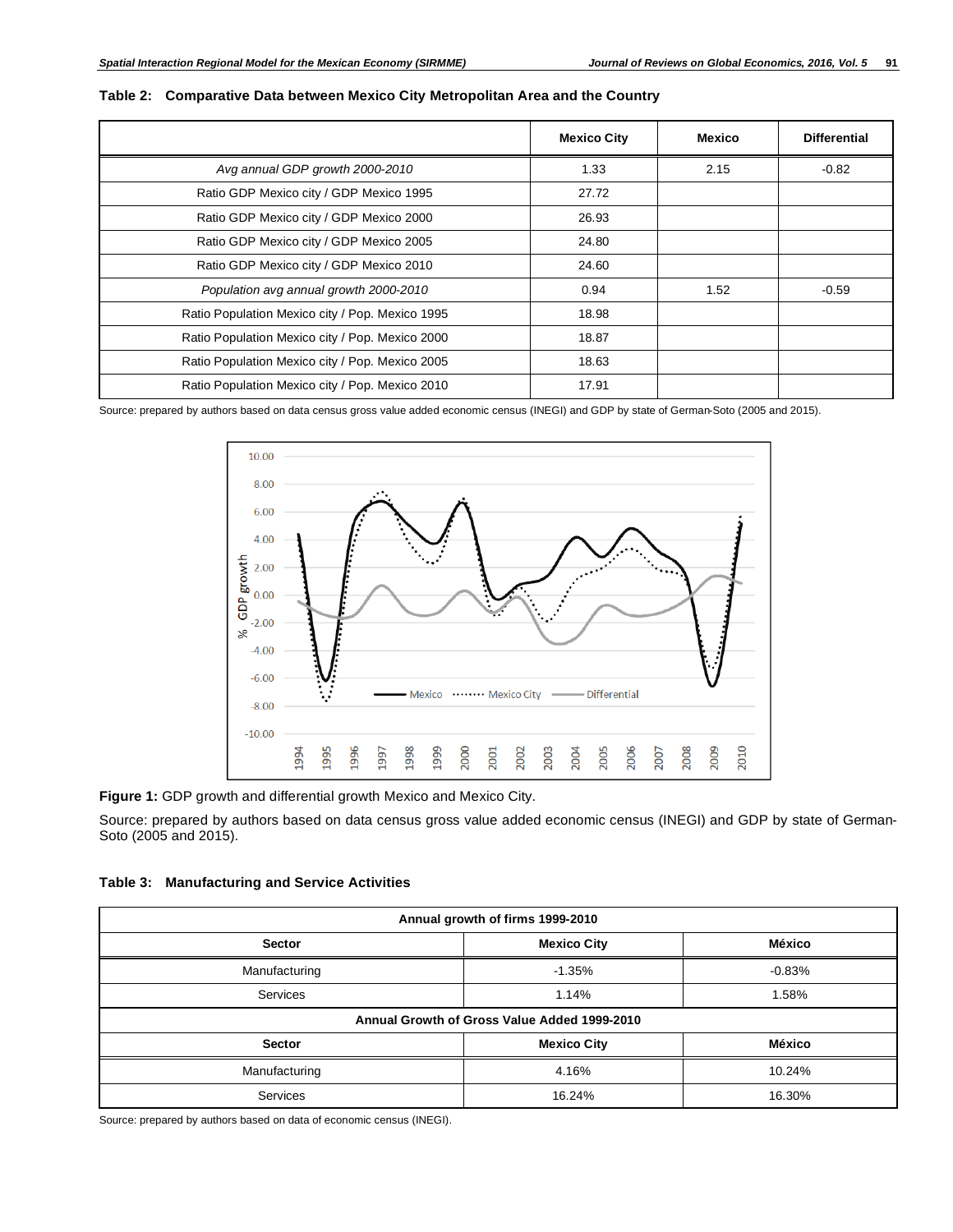|                                                 | <b>Mexico City</b> | Mexico | <b>Differential</b> |
|-------------------------------------------------|--------------------|--------|---------------------|
| Avg annual GDP growth 2000-2010                 | 1.33               | 2.15   | $-0.82$             |
| Ratio GDP Mexico city / GDP Mexico 1995         | 27.72              |        |                     |
| Ratio GDP Mexico city / GDP Mexico 2000         | 26.93              |        |                     |
| Ratio GDP Mexico city / GDP Mexico 2005         | 24.80              |        |                     |
| Ratio GDP Mexico city / GDP Mexico 2010         | 24.60              |        |                     |
| Population avg annual growth 2000-2010          | 0.94               | 1.52   | $-0.59$             |
| Ratio Population Mexico city / Pop. Mexico 1995 | 18.98              |        |                     |
| Ratio Population Mexico city / Pop. Mexico 2000 | 18.87              |        |                     |
| Ratio Population Mexico city / Pop. Mexico 2005 | 18.63              |        |                     |
| Ratio Population Mexico city / Pop. Mexico 2010 | 17.91              |        |                     |

#### **Table 2: Comparative Data between Mexico City Metropolitan Area and the Country**

Source: prepared by authors based on data census gross value added economic census (INEGI) and GDP by state of German-Soto (2005 and 2015).



**Figure 1:** GDP growth and differential growth Mexico and Mexico City.

Source: prepared by authors based on data census gross value added economic census (INEGI) and GDP by state of German-Soto (2005 and 2015).

|                 | Annual growth of firms 1999-2010             |          |
|-----------------|----------------------------------------------|----------|
| <b>Sector</b>   | <b>Mexico City</b>                           | México   |
| Manufacturing   | $-1.35%$                                     | $-0.83%$ |
| <b>Services</b> | 1.14%                                        | 1.58%    |
|                 | Annual Growth of Gross Value Added 1999-2010 |          |
| <b>Sector</b>   | <b>Mexico City</b>                           | México   |
| Manufacturing   | 4.16%                                        | 10.24%   |
| <b>Services</b> | 16.24%                                       | 16.30%   |

Source: prepared by authors based on data of economic census (INEGI).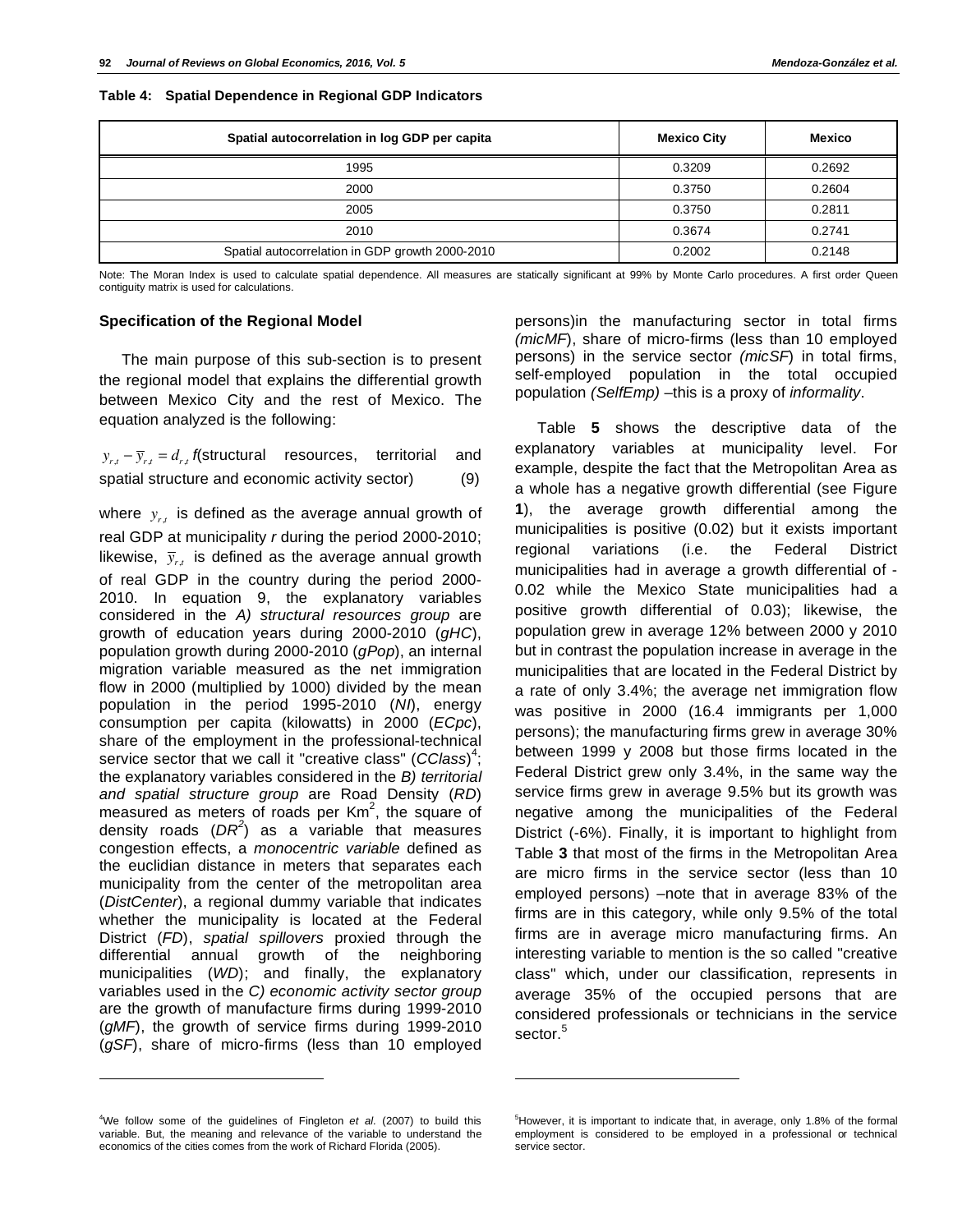| Spatial autocorrelation in log GDP per capita   | <b>Mexico City</b> | <b>Mexico</b> |
|-------------------------------------------------|--------------------|---------------|
| 1995                                            | 0.3209             | 0.2692        |
| 2000                                            | 0.3750             | 0.2604        |
| 2005                                            | 0.3750             | 0.2811        |
| 2010                                            | 0.3674             | 0.2741        |
| Spatial autocorrelation in GDP growth 2000-2010 | 0.2002             | 0.2148        |

**Table 4: Spatial Dependence in Regional GDP Indicators** 

Note: The Moran Index is used to calculate spatial dependence. All measures are statically significant at 99% by Monte Carlo procedures. A first order Queen contiguity matrix is used for calculations.

l

#### **Specification of the Regional Model**

The main purpose of this sub-section is to present the regional model that explains the differential growth between Mexico City and the rest of Mexico. The equation analyzed is the following:

 $y_{r,t} - \overline{y}_{r,t} = d_{r,t}$  *f*(structural resources, territorial and spatial structure and economic activity sector) (9)

where  $y_{rt}$  is defined as the average annual growth of real GDP at municipality *r* during the period 2000-2010; likewise,  $\bar{y}_{r,t}$  is defined as the average annual growth of real GDP in the country during the period 2000- 2010. In equation 9, the explanatory variables considered in the *A) structural resources group* are growth of education years during 2000-2010 (*gHC*), population growth during 2000-2010 (*gPop*), an internal migration variable measured as the net immigration flow in 2000 (multiplied by 1000) divided by the mean population in the period 1995-2010 (*NI*), energy consumption per capita (kilowatts) in 2000 (*ECpc*), share of the employment in the professional-technical service sector that we call it "creative class" (*CClass*) 4 ; the explanatory variables considered in the *B) territorial and spatial structure group* are Road Density (*RD*) measured as meters of roads per  $Km^2$ , the square of density roads (*DR<sup>2</sup>* ) as a variable that measures congestion effects, a *monocentric variable* defined as the euclidian distance in meters that separates each municipality from the center of the metropolitan area (*DistCenter*), a regional dummy variable that indicates whether the municipality is located at the Federal District (*FD*), *spatial spillovers* proxied through the differential annual growth of the neighboring municipalities (*WD*); and finally, the explanatory variables used in the *C) economic activity sector group* are the growth of manufacture firms during 1999-2010 (*gMF*), the growth of service firms during 1999-2010 (*gSF*), share of micro-firms (less than 10 employed

4 We follow some of the guidelines of Fingleton *et al.* (2007) to build this variable. But, the meaning and relevance of the variable to understand the economics of the cities comes from the work of Richard Florida (2005).

l

persons)in the manufacturing sector in total firms *(micMF*), share of micro-firms (less than 10 employed persons) in the service sector *(micSF*) in total firms, self-employed population in the total occupied population *(SelfEmp)* –this is a proxy of *informality*.

Table **5** shows the descriptive data of the explanatory variables at municipality level. For example, despite the fact that the Metropolitan Area as a whole has a negative growth differential (see Figure **1**), the average growth differential among the municipalities is positive (0.02) but it exists important regional variations (i.e. the Federal District municipalities had in average a growth differential of - 0.02 while the Mexico State municipalities had a positive growth differential of 0.03); likewise, the population grew in average 12% between 2000 y 2010 but in contrast the population increase in average in the municipalities that are located in the Federal District by a rate of only 3.4%; the average net immigration flow was positive in 2000 (16.4 immigrants per 1,000 persons); the manufacturing firms grew in average 30% between 1999 y 2008 but those firms located in the Federal District grew only 3.4%, in the same way the service firms grew in average 9.5% but its growth was negative among the municipalities of the Federal District (-6%). Finally, it is important to highlight from Table **3** that most of the firms in the Metropolitan Area are micro firms in the service sector (less than 10 employed persons) –note that in average 83% of the firms are in this category, while only 9.5% of the total firms are in average micro manufacturing firms. An interesting variable to mention is the so called "creative class" which, under our classification, represents in average 35% of the occupied persons that are considered professionals or technicians in the service sector.<sup>5</sup>

<sup>&</sup>lt;sup>5</sup>However, it is important to indicate that, in average, only 1.8% of the formal employment is considered to be employed in a professional or technical service sector.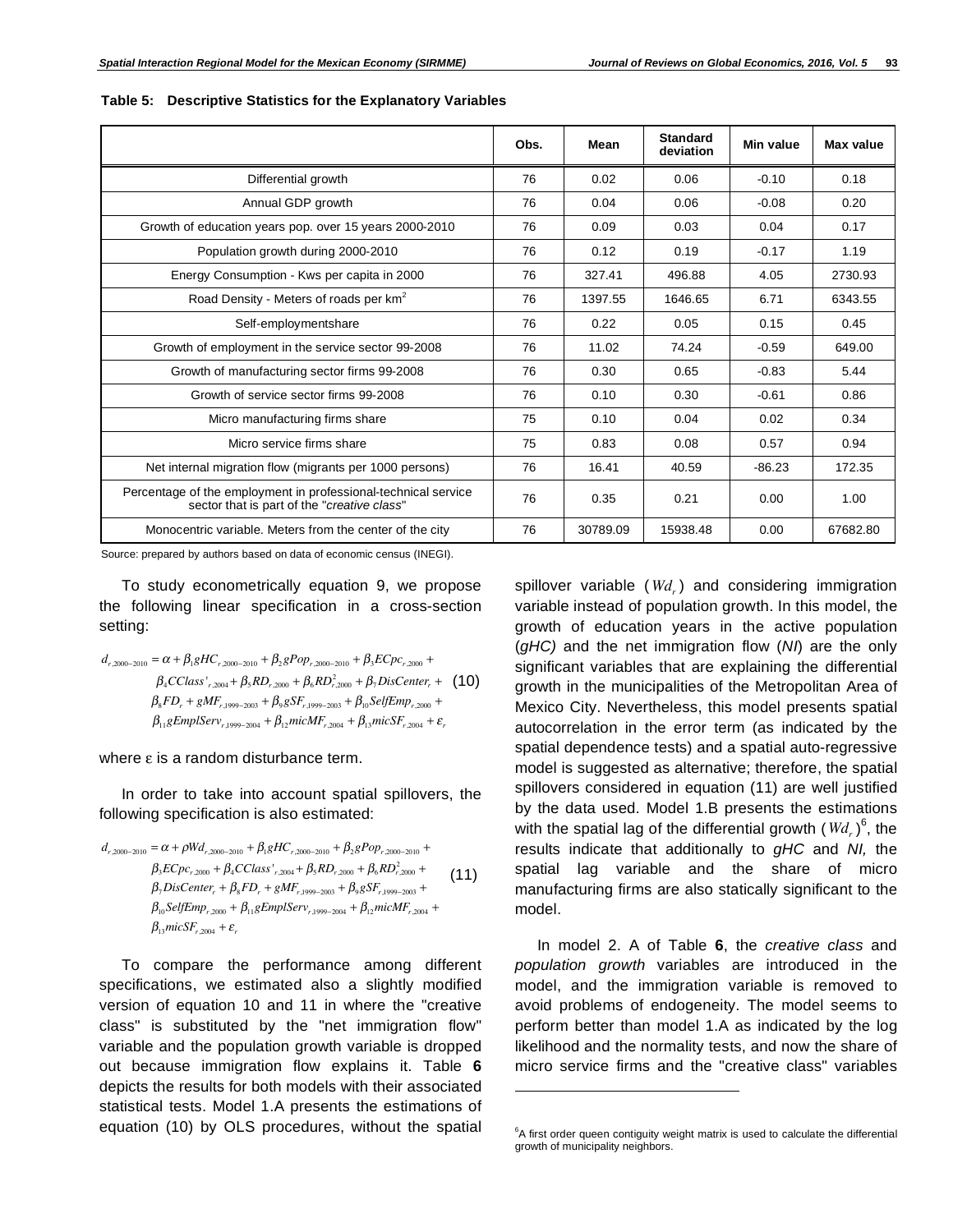|                                                                                                               | Obs. | Mean     | <b>Standard</b><br>deviation | Min value | <b>Max value</b> |
|---------------------------------------------------------------------------------------------------------------|------|----------|------------------------------|-----------|------------------|
| Differential growth                                                                                           | 76   | 0.02     | 0.06                         | $-0.10$   | 0.18             |
| Annual GDP growth                                                                                             | 76   | 0.04     | 0.06                         | $-0.08$   | 0.20             |
| Growth of education years pop. over 15 years 2000-2010                                                        | 76   | 0.09     | 0.03                         | 0.04      | 0.17             |
| Population growth during 2000-2010                                                                            | 76   | 0.12     | 0.19                         | $-0.17$   | 1.19             |
| Energy Consumption - Kws per capita in 2000                                                                   | 76   | 327.41   | 496.88                       | 4.05      | 2730.93          |
| Road Density - Meters of roads per km <sup>2</sup>                                                            | 76   | 1397.55  | 1646.65                      | 6.71      | 6343.55          |
| Self-employmentshare                                                                                          | 76   | 0.22     | 0.05                         | 0.15      | 0.45             |
| Growth of employment in the service sector 99-2008                                                            | 76   | 11.02    | 74.24                        | $-0.59$   | 649.00           |
| Growth of manufacturing sector firms 99-2008                                                                  | 76   | 0.30     | 0.65                         | $-0.83$   | 5.44             |
| Growth of service sector firms 99-2008                                                                        | 76   | 0.10     | 0.30                         | $-0.61$   | 0.86             |
| Micro manufacturing firms share                                                                               | 75   | 0.10     | 0.04                         | 0.02      | 0.34             |
| Micro service firms share                                                                                     | 75   | 0.83     | 0.08                         | 0.57      | 0.94             |
| Net internal migration flow (migrants per 1000 persons)                                                       | 76   | 16.41    | 40.59                        | $-86.23$  | 172.35           |
| Percentage of the employment in professional-technical service<br>sector that is part of the "creative class" | 76   | 0.35     | 0.21                         | 0.00      | 1.00             |
| Monocentric variable. Meters from the center of the city                                                      | 76   | 30789.09 | 15938.48                     | 0.00      | 67682.80         |

l

**Table 5: Descriptive Statistics for the Explanatory Variables** 

Source: prepared by authors based on data of economic census (INEGI).

To study econometrically equation 9, we propose the following linear specification in a cross-section setting:

$$
d_{r,2000-2010} = \alpha + \beta_1 gHC_{r,2000-2010} + \beta_2 gPop_{r,2000-2010} + \beta_3 ECpc_{r,2000} +
$$
  
\n
$$
\beta_4 CClass'_{r,2004} + \beta_5 RD_{r,2000} + \beta_6 R D_{r,2000}^2 + \beta_7 Discenter_r + (10)
$$
  
\n
$$
\beta_8 FD_r + gMF_{r,1999-2003} + \beta_9 gSF_{r,1999-2003} + \beta_{10} SelfEmp_{r,2000} +
$$
  
\n
$$
\beta_{11} gEmplServ_{r,1999-2004} + \beta_{12} micMF_{r,2004} + \beta_{13} micSF_{r,2004} + \varepsilon_r
$$

where  $\varepsilon$  is a random disturbance term.

In order to take into account spatial spillovers, the following specification is also estimated:

$$
d_{r,2000-2010} = \alpha + \rho W d_{r,2000-2010} + \beta_1 g H C_{r,2000-2010} + \beta_2 g P o p_{r,2000-2010} +
$$
  
\n
$$
\beta_3 E C p c_{r,2000} + \beta_4 C C l a s s'_{r,2004} + \beta_5 R D_{r,2000} + \beta_6 R D_{r,2000}^2 +
$$
  
\n
$$
\beta_7 D is Center_r + \beta_8 F D_r + g M F_{r,1999-2003} + \beta_9 g S F_{r,1999-2003} +
$$
  
\n
$$
\beta_{10} S e l f Emp_{r,2004} + \beta_{11} g Emp l S e r v_{r,1999-2004} + \beta_{12} m i c M F_{r,2004} +
$$
  
\n
$$
\beta_{13} m i c S F_{r,2004} + \varepsilon_r
$$
 (11)

To compare the performance among different specifications, we estimated also a slightly modified version of equation 10 and 11 in where the "creative class" is substituted by the "net immigration flow" variable and the population growth variable is dropped out because immigration flow explains it. Table **6** depicts the results for both models with their associated statistical tests. Model 1.A presents the estimations of equation (10) by OLS procedures, without the spatial spillover variable (*Wd<sub>r</sub>*) and considering immigration variable instead of population growth. In this model, the growth of education years in the active population (*gHC)* and the net immigration flow (*NI*) are the only significant variables that are explaining the differential growth in the municipalities of the Metropolitan Area of Mexico City. Nevertheless, this model presents spatial autocorrelation in the error term (as indicated by the spatial dependence tests) and a spatial auto-regressive model is suggested as alternative; therefore, the spatial spillovers considered in equation (11) are well justified by the data used. Model 1.B presents the estimations with the spatial lag of the differential growth (  $W\!d_{_{r}}$  )<sup>6</sup>, the results indicate that additionally to *gHC* and *NI,* the spatial lag variable and the share of micro manufacturing firms are also statically significant to the model.

In model 2. A of Table **6**, the *creative class* and *population growth* variables are introduced in the model, and the immigration variable is removed to avoid problems of endogeneity. The model seems to perform better than model 1.A as indicated by the log likelihood and the normality tests, and now the share of micro service firms and the "creative class" variables

 ${}^{6}$ A first order queen contiguity weight matrix is used to calculate the differential growth of municipality neighbors.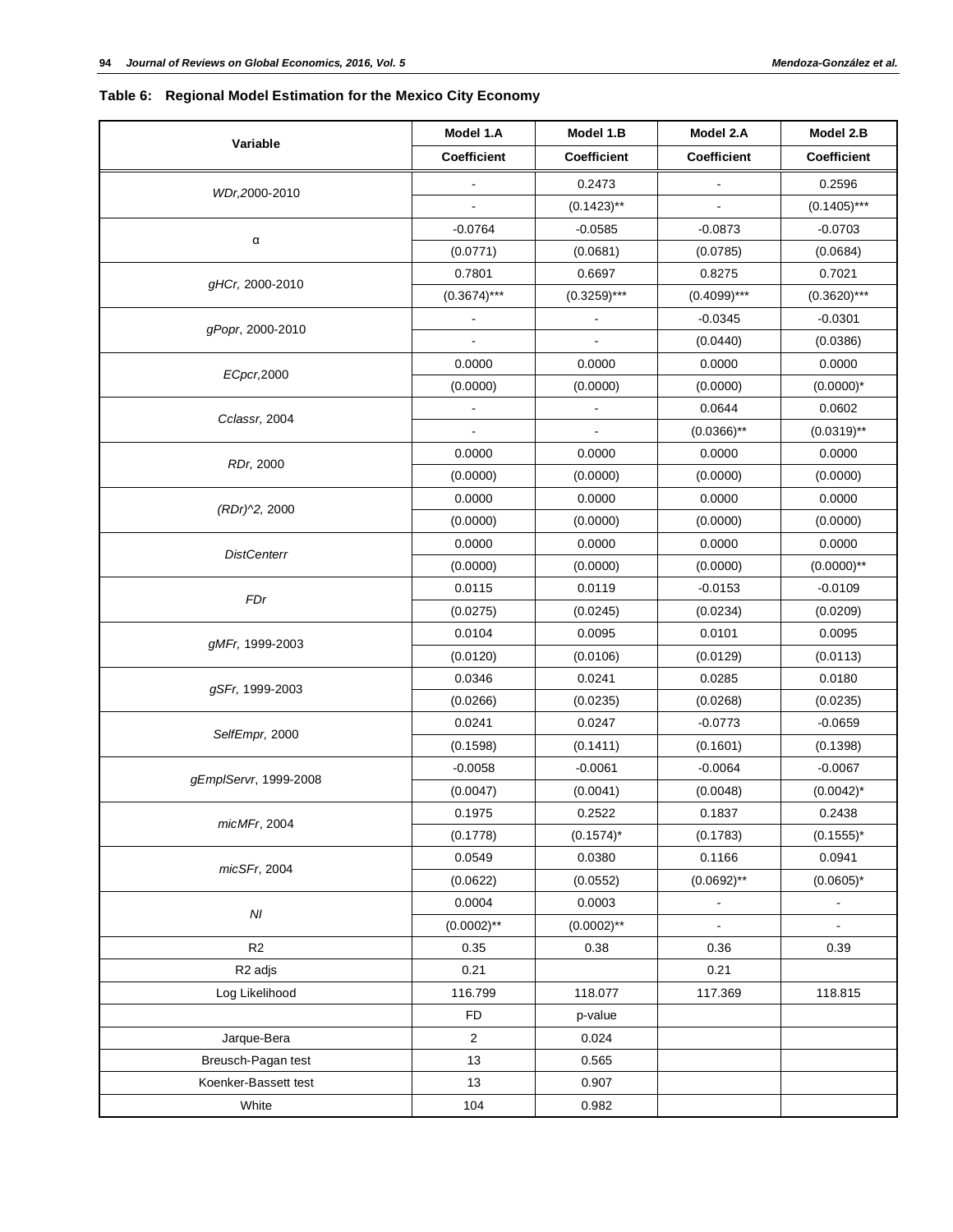# **Table 6: Regional Model Estimation for the Mexico City Economy**

|                       | Model 1.A                | Model 1.B                | Model 2.A                    | Model 2.B                |
|-----------------------|--------------------------|--------------------------|------------------------------|--------------------------|
| Variable              | Coefficient              | <b>Coefficient</b>       | <b>Coefficient</b>           | <b>Coefficient</b>       |
| WDr,2000-2010         |                          | 0.2473                   |                              | 0.2596                   |
|                       |                          | $(0.1423)$ **            |                              | $(0.1405)$ ***           |
|                       | $-0.0764$                | $-0.0585$                | $-0.0873$                    | $-0.0703$                |
| α                     | (0.0771)                 | (0.0681)                 | (0.0785)                     | (0.0684)                 |
|                       | 0.7801                   | 0.6697                   | 0.8275                       | 0.7021                   |
| gHCr, 2000-2010       | $(0.3674)$ ***           | $(0.3259)***$            | $(0.4099)$ ***               | $(0.3620)$ ***           |
|                       | $\overline{\phantom{a}}$ | $\blacksquare$           | $-0.0345$                    | $-0.0301$                |
| gPopr, 2000-2010      |                          |                          | (0.0440)                     | (0.0386)                 |
|                       | 0.0000                   | 0.0000                   | 0.0000                       | 0.0000                   |
| ECpcr, 2000           | (0.0000)                 | (0.0000)                 | (0.0000)                     | $(0.0000)^*$             |
|                       |                          | $\overline{\phantom{0}}$ | 0.0644                       | 0.0602                   |
| Cclassr, 2004         |                          |                          | $(0.0366)$ **                | $(0.0319)$ **            |
|                       | 0.0000                   | 0.0000                   | 0.0000                       | 0.0000                   |
| RDr, 2000             | (0.0000)                 | (0.0000)                 | (0.0000)                     | (0.0000)                 |
|                       | 0.0000                   | 0.0000                   | 0.0000                       | 0.0000                   |
| (RDr)^2, 2000         | (0.0000)                 | (0.0000)                 | (0.0000)                     | (0.0000)                 |
|                       | 0.0000                   | 0.0000                   | 0.0000                       | 0.0000                   |
| <b>DistCenterr</b>    | (0.0000)                 | (0.0000)                 | (0.0000)                     | $(0.0000)$ **            |
|                       | 0.0115                   | 0.0119                   | $-0.0153$                    | $-0.0109$                |
| FDr                   | (0.0275)                 | (0.0245)                 | (0.0234)                     | (0.0209)                 |
|                       | 0.0104                   | 0.0095                   | 0.0101                       | 0.0095                   |
| gMFr, 1999-2003       | (0.0120)                 | (0.0106)                 | (0.0129)                     | (0.0113)                 |
|                       | 0.0346                   | 0.0241                   | 0.0285                       | 0.0180                   |
| gSFr, 1999-2003       | (0.0266)                 | (0.0235)                 | (0.0268)                     | (0.0235)                 |
|                       | 0.0241                   | 0.0247                   | $-0.0773$                    | $-0.0659$                |
| SelfEmpr, 2000        | (0.1598)                 | (0.1411)                 | (0.1601)                     | (0.1398)                 |
|                       | $-0.0058$                | $-0.0061$                | $-0.0064$                    | $-0.0067$                |
| gEmplServr, 1999-2008 | (0.0047)                 | (0.0041)                 | (0.0048)                     | $(0.0042)^{*}$           |
|                       | 0.1975                   | 0.2522                   | 0.1837                       | 0.2438                   |
| micMFr, 2004          | (0.1778)                 | $(0.1574)^*$             | (0.1783)                     | $(0.1555)^*$             |
|                       | 0.0549                   | 0.0380                   | 0.1166                       | 0.0941                   |
| micSFr, 2004          | (0.0622)                 | (0.0552)                 | $(0.0692)$ **                | $(0.0605)^*$             |
|                       | 0.0004                   | 0.0003                   | $\qquad \qquad \blacksquare$ | $\overline{\phantom{a}}$ |
| $\cal NI$             | $(0.0002)$ **            | $(0.0002)$ **            | $\blacksquare$               | $\blacksquare$           |
| R <sub>2</sub>        | 0.35                     | 0.38                     | 0.36                         | 0.39                     |
| R <sub>2</sub> adjs   | 0.21                     |                          | 0.21                         |                          |
| Log Likelihood        | 116.799                  | 118.077                  | 117.369                      | 118.815                  |
|                       | <b>FD</b>                | p-value                  |                              |                          |
| Jarque-Bera           | 2                        | 0.024                    |                              |                          |
| Breusch-Pagan test    | 13                       | 0.565                    |                              |                          |
| Koenker-Bassett test  | 13                       | 0.907                    |                              |                          |
| White                 | 104                      | 0.982                    |                              |                          |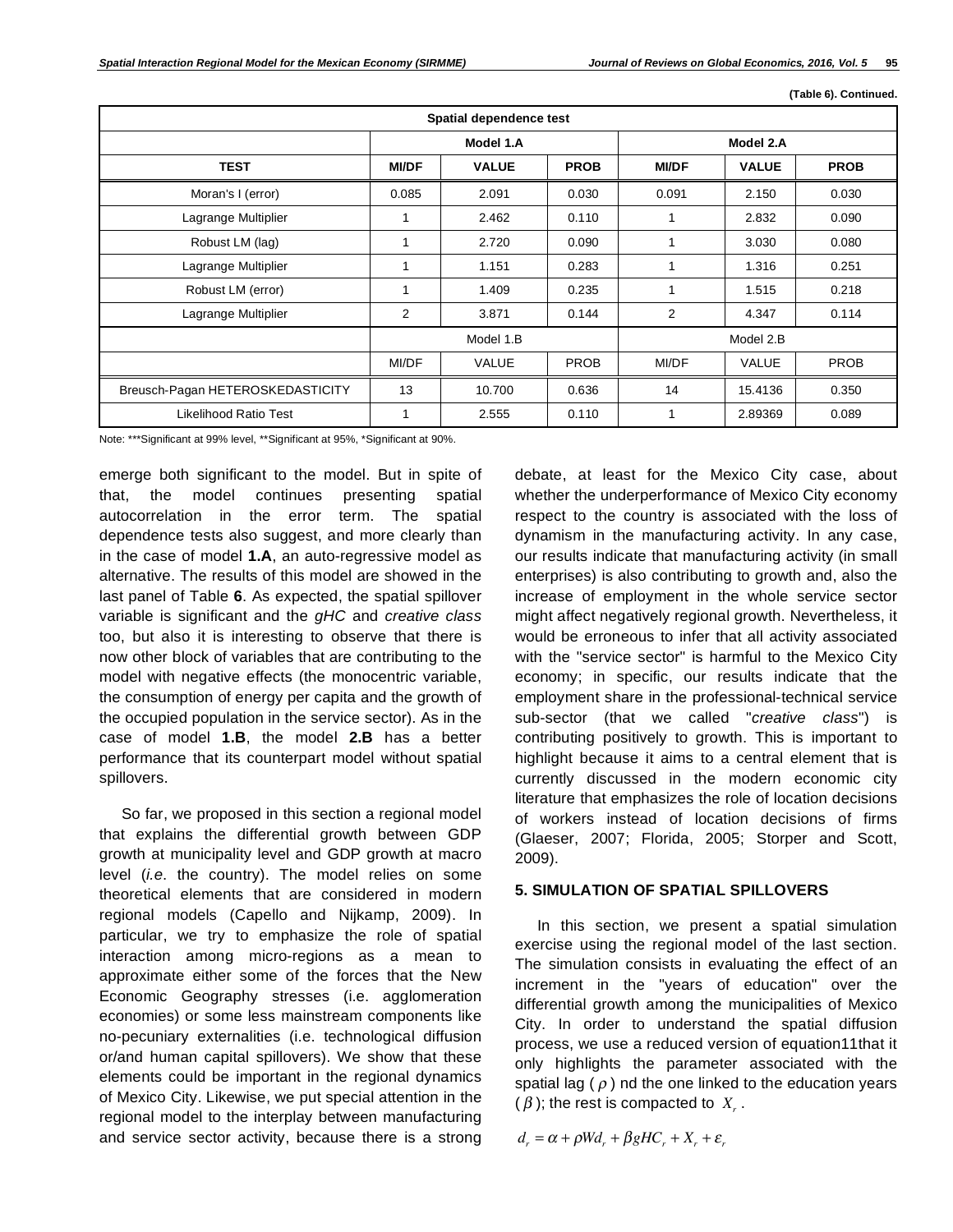**(Table 6). Continued.** 

|                                  |                        | Spatial dependence test |             |              |              |             |
|----------------------------------|------------------------|-------------------------|-------------|--------------|--------------|-------------|
|                                  |                        | Model 1.A               |             |              | Model 2.A    |             |
| <b>TEST</b>                      | <b>MI/DF</b>           | <b>VALUE</b>            | <b>PROB</b> | <b>MI/DF</b> | <b>VALUE</b> | <b>PROB</b> |
| Moran's I (error)                | 0.085                  | 2.091                   | 0.030       | 0.091        | 2.150        | 0.030       |
| Lagrange Multiplier              | 1                      | 2.462                   | 0.110       | 1            | 2.832        | 0.090       |
| Robust LM (lag)                  | 1                      | 2.720                   | 0.090       | 1            | 3.030        | 0.080       |
| Lagrange Multiplier              | 1                      | 1.151                   | 0.283       | 1            | 1.316        | 0.251       |
| Robust LM (error)                | 1                      | 1.409                   | 0.235       | 1            | 1.515        | 0.218       |
| Lagrange Multiplier              | 2                      | 3.871                   | 0.144       | 2            | 4.347        | 0.114       |
|                                  | Model 1.B<br>Model 2.B |                         |             |              |              |             |
|                                  | MI/DF                  | VALUE                   | <b>PROB</b> | MI/DF        | <b>VALUE</b> | <b>PROB</b> |
| Breusch-Pagan HETEROSKEDASTICITY | 13                     | 10.700                  | 0.636       | 14           | 15.4136      | 0.350       |
| Likelihood Ratio Test            | 1                      | 2.555                   | 0.110       | 1            | 2.89369      | 0.089       |

Note: \*\*\*Significant at 99% level, \*\*Significant at 95%, \*Significant at 90%.

emerge both significant to the model. But in spite of that, the model continues presenting spatial autocorrelation in the error term. The spatial dependence tests also suggest, and more clearly than in the case of model **1.A**, an auto-regressive model as alternative. The results of this model are showed in the last panel of Table **6**. As expected, the spatial spillover variable is significant and the *gHC* and *creative class*  too, but also it is interesting to observe that there is now other block of variables that are contributing to the model with negative effects (the monocentric variable, the consumption of energy per capita and the growth of the occupied population in the service sector). As in the case of model **1.B**, the model **2.B** has a better performance that its counterpart model without spatial spillovers.

So far, we proposed in this section a regional model that explains the differential growth between GDP growth at municipality level and GDP growth at macro level (*i.e*. the country). The model relies on some theoretical elements that are considered in modern regional models (Capello and Nijkamp, 2009). In particular, we try to emphasize the role of spatial interaction among micro-regions as a mean to approximate either some of the forces that the New Economic Geography stresses (i.e. agglomeration economies) or some less mainstream components like no-pecuniary externalities (i.e. technological diffusion or/and human capital spillovers). We show that these elements could be important in the regional dynamics of Mexico City. Likewise, we put special attention in the regional model to the interplay between manufacturing and service sector activity, because there is a strong debate, at least for the Mexico City case, about whether the underperformance of Mexico City economy respect to the country is associated with the loss of dynamism in the manufacturing activity. In any case, our results indicate that manufacturing activity (in small enterprises) is also contributing to growth and, also the increase of employment in the whole service sector might affect negatively regional growth. Nevertheless, it would be erroneous to infer that all activity associated with the "service sector" is harmful to the Mexico City economy; in specific, our results indicate that the employment share in the professional-technical service sub-sector (that we called "*creative class*") is contributing positively to growth. This is important to highlight because it aims to a central element that is currently discussed in the modern economic city literature that emphasizes the role of location decisions of workers instead of location decisions of firms (Glaeser, 2007; Florida, 2005; Storper and Scott, 2009).

# **5. SIMULATION OF SPATIAL SPILLOVERS**

In this section, we present a spatial simulation exercise using the regional model of the last section. The simulation consists in evaluating the effect of an increment in the "years of education" over the differential growth among the municipalities of Mexico City. In order to understand the spatial diffusion process, we use a reduced version of equation11that it only highlights the parameter associated with the spatial lag ( $\rho$ ) nd the one linked to the education years  $(\beta)$ ; the rest is compacted to  $X<sub>r</sub>$ .

 $d_r = \alpha + \rho W d_r + \beta g H C_r + X_r + \varepsilon_r$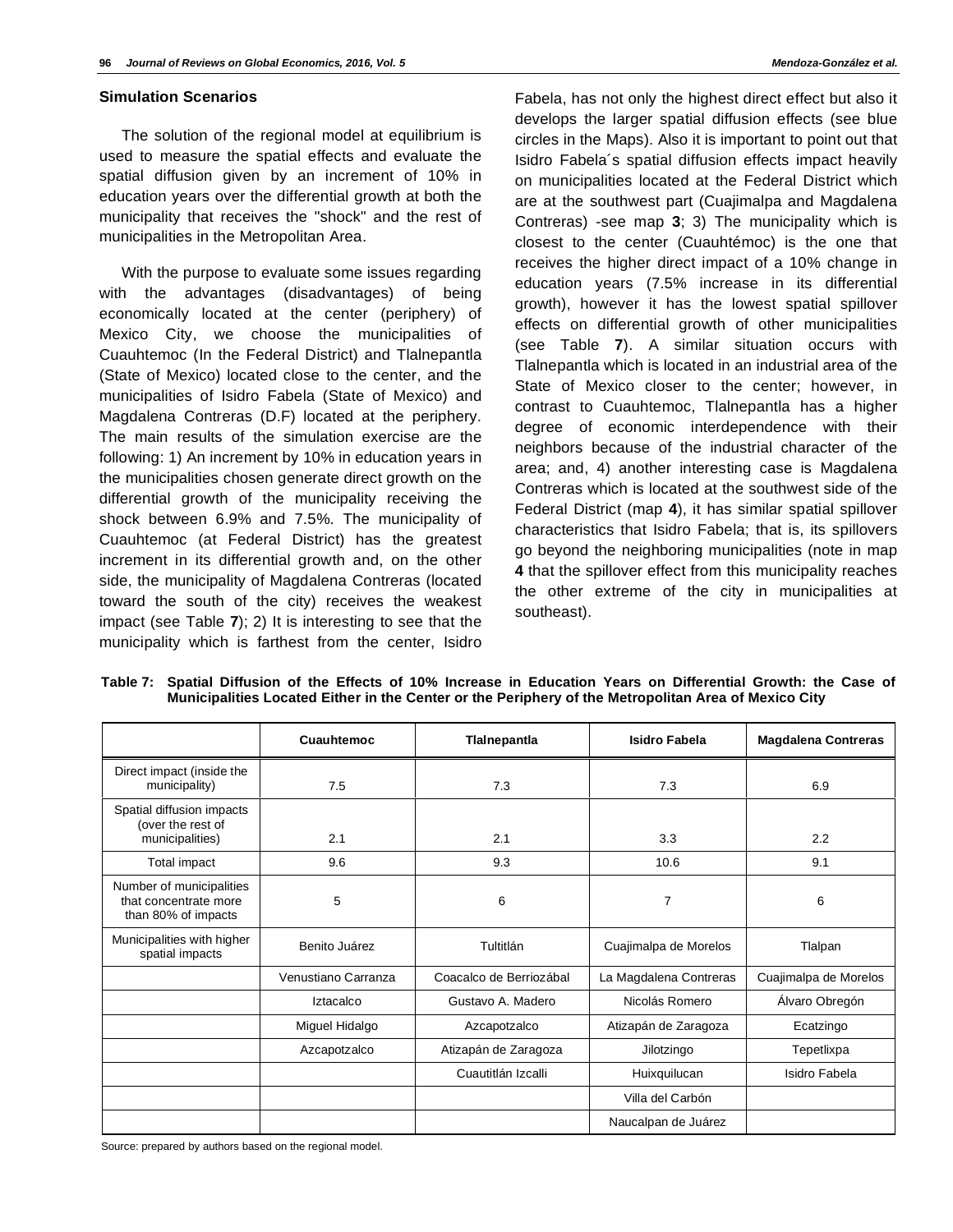#### **Simulation Scenarios**

The solution of the regional model at equilibrium is used to measure the spatial effects and evaluate the spatial diffusion given by an increment of 10% in education years over the differential growth at both the municipality that receives the "shock" and the rest of municipalities in the Metropolitan Area.

With the purpose to evaluate some issues regarding with the advantages (disadvantages) of being economically located at the center (periphery) of Mexico City, we choose the municipalities of Cuauhtemoc (In the Federal District) and Tlalnepantla (State of Mexico) located close to the center, and the municipalities of Isidro Fabela (State of Mexico) and Magdalena Contreras (D.F) located at the periphery. The main results of the simulation exercise are the following: 1) An increment by 10% in education years in the municipalities chosen generate direct growth on the differential growth of the municipality receiving the shock between 6.9% and 7.5%. The municipality of Cuauhtemoc (at Federal District) has the greatest increment in its differential growth and, on the other side, the municipality of Magdalena Contreras (located toward the south of the city) receives the weakest impact (see Table **7**); 2) It is interesting to see that the municipality which is farthest from the center, Isidro

Fabela, has not only the highest direct effect but also it develops the larger spatial diffusion effects (see blue circles in the Maps). Also it is important to point out that Isidro Fabela´s spatial diffusion effects impact heavily on municipalities located at the Federal District which are at the southwest part (Cuajimalpa and Magdalena Contreras) -see map **3**; 3) The municipality which is closest to the center (Cuauhtémoc) is the one that receives the higher direct impact of a 10% change in education years (7.5% increase in its differential growth), however it has the lowest spatial spillover effects on differential growth of other municipalities (see Table **7**). A similar situation occurs with Tlalnepantla which is located in an industrial area of the State of Mexico closer to the center; however, in contrast to Cuauhtemoc, Tlalnepantla has a higher degree of economic interdependence with their neighbors because of the industrial character of the area; and, 4) another interesting case is Magdalena Contreras which is located at the southwest side of the Federal District (map **4**), it has similar spatial spillover characteristics that Isidro Fabela; that is, its spillovers go beyond the neighboring municipalities (note in map **4** that the spillover effect from this municipality reaches the other extreme of the city in municipalities at southeast).

|                                                                          | Cuauhtemoc          | Tlainepantia            | Isidro Fabela          | <b>Magdalena Contreras</b> |
|--------------------------------------------------------------------------|---------------------|-------------------------|------------------------|----------------------------|
| Direct impact (inside the<br>municipality)                               | 7.5                 | 7.3                     | 7.3                    | 6.9                        |
| Spatial diffusion impacts<br>(over the rest of<br>municipalities)        | 2.1                 | 2.1                     | 3.3                    | 2.2                        |
| Total impact                                                             | 9.6                 | 9.3                     | 10.6                   | 9.1                        |
| Number of municipalities<br>that concentrate more<br>than 80% of impacts | 5                   | 6                       | 7                      | 6                          |
| Municipalities with higher<br>spatial impacts                            | Benito Juárez       | Tultitlán               | Cuajimalpa de Morelos  | Tlalpan                    |
|                                                                          | Venustiano Carranza | Coacalco de Berriozábal | La Magdalena Contreras | Cuajimalpa de Morelos      |
|                                                                          | Iztacalco           | Gustavo A. Madero       | Nicolás Romero         | Álvaro Obregón             |
|                                                                          | Miguel Hidalgo      | Azcapotzalco            | Atizapán de Zaragoza   | Ecatzingo                  |
|                                                                          | Azcapotzalco        | Atizapán de Zaragoza    | Jilotzingo             | Tepetlixpa                 |
|                                                                          |                     | Cuautitlán Izcalli      | Huixquilucan           | Isidro Fabela              |
|                                                                          |                     |                         | Villa del Carbón       |                            |
|                                                                          |                     |                         | Naucalpan de Juárez    |                            |

**Table 7: Spatial Diffusion of the Effects of 10% Increase in Education Years on Differential Growth: the Case of Municipalities Located Either in the Center or the Periphery of the Metropolitan Area of Mexico City** 

Source: prepared by authors based on the regional model.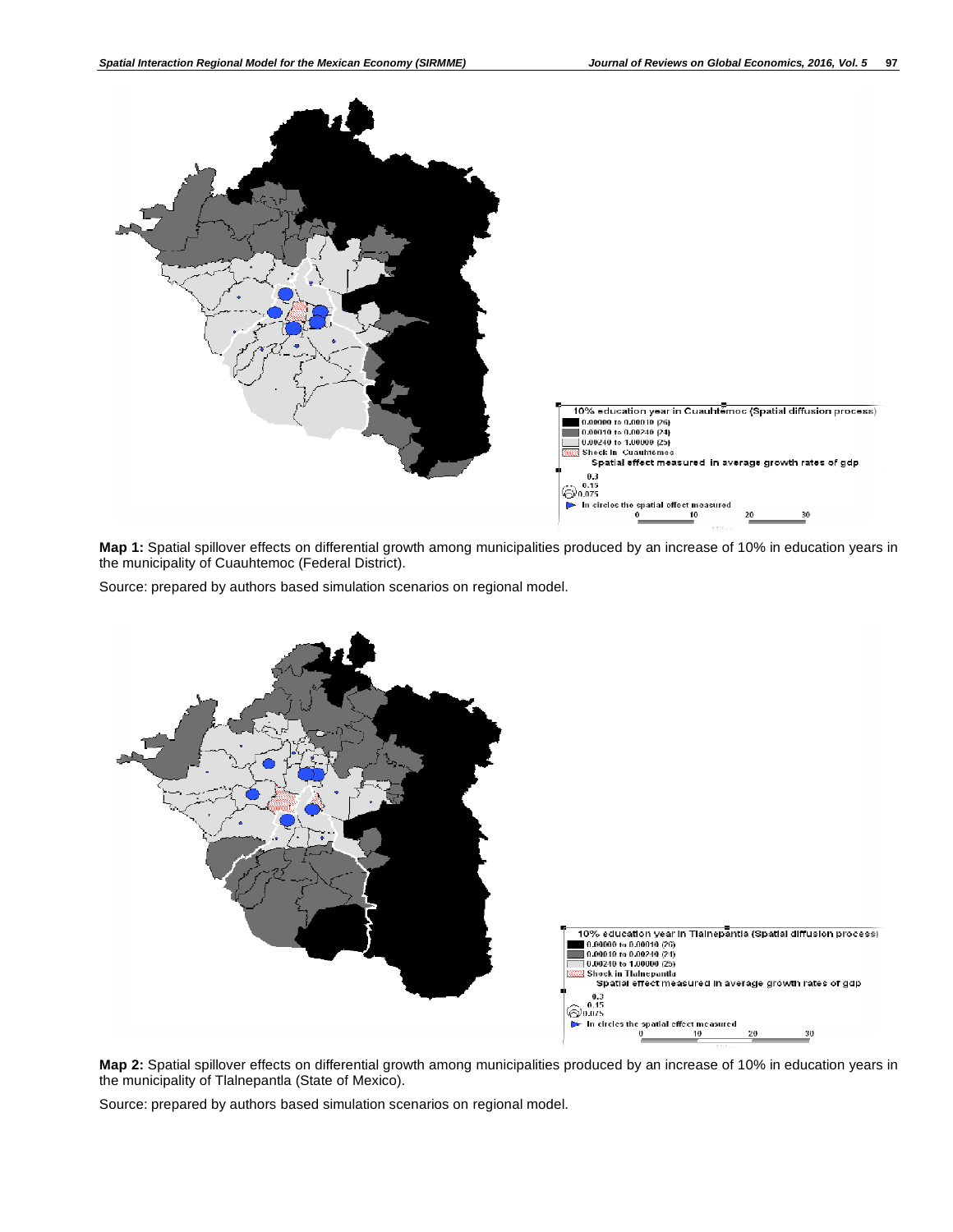

**Map 1:** Spatial spillover effects on differential growth among municipalities produced by an increase of 10% in education years in the municipality of Cuauhtemoc (Federal District).

Source: prepared by authors based simulation scenarios on regional model.



**Map 2:** Spatial spillover effects on differential growth among municipalities produced by an increase of 10% in education years in the municipality of Tlalnepantla (State of Mexico).

Source: prepared by authors based simulation scenarios on regional model.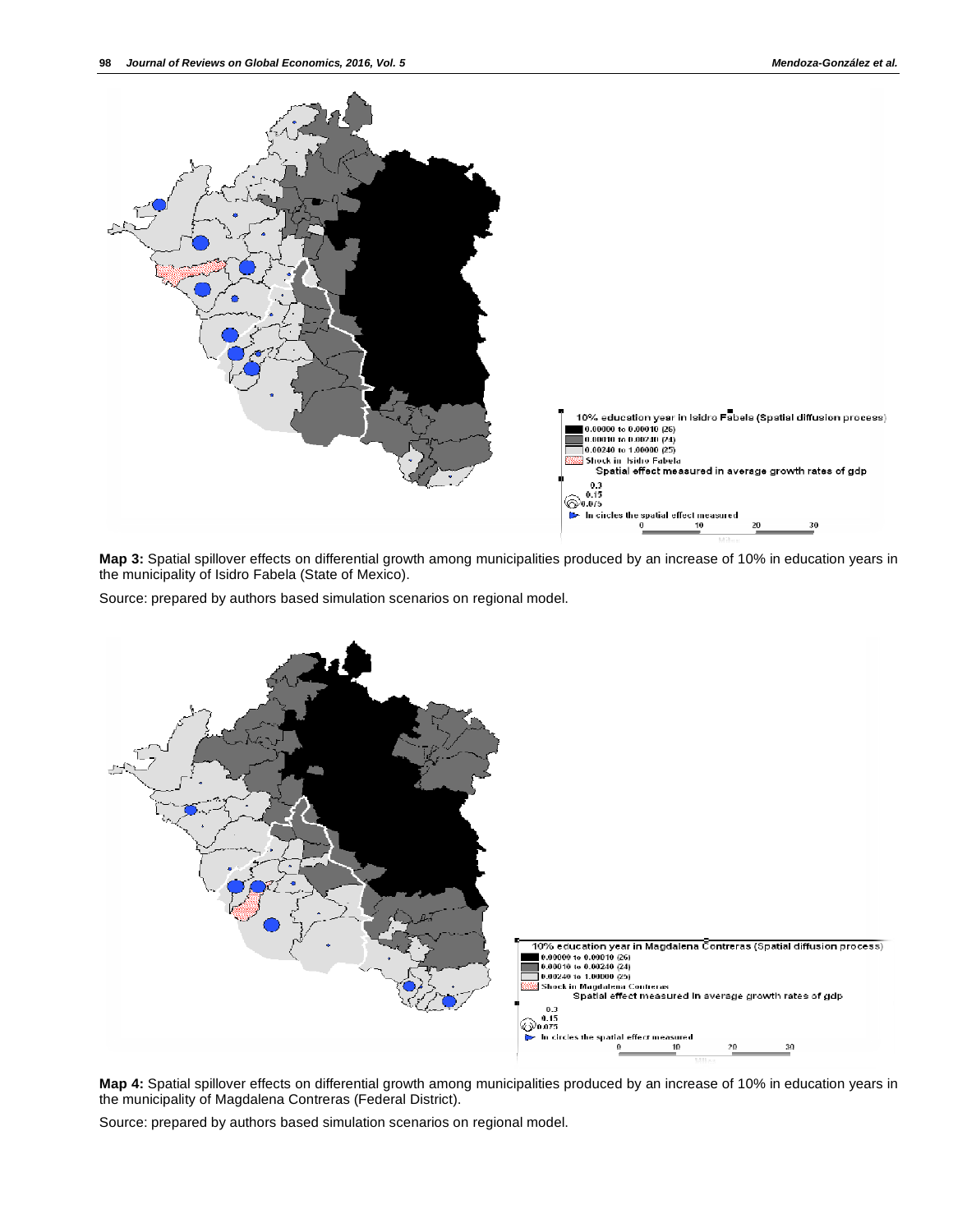

**Map 3:** Spatial spillover effects on differential growth among municipalities produced by an increase of 10% in education years in the municipality of Isidro Fabela (State of Mexico).

Source: prepared by authors based simulation scenarios on regional model.



**Map 4:** Spatial spillover effects on differential growth among municipalities produced by an increase of 10% in education years in the municipality of Magdalena Contreras (Federal District).

Source: prepared by authors based simulation scenarios on regional model.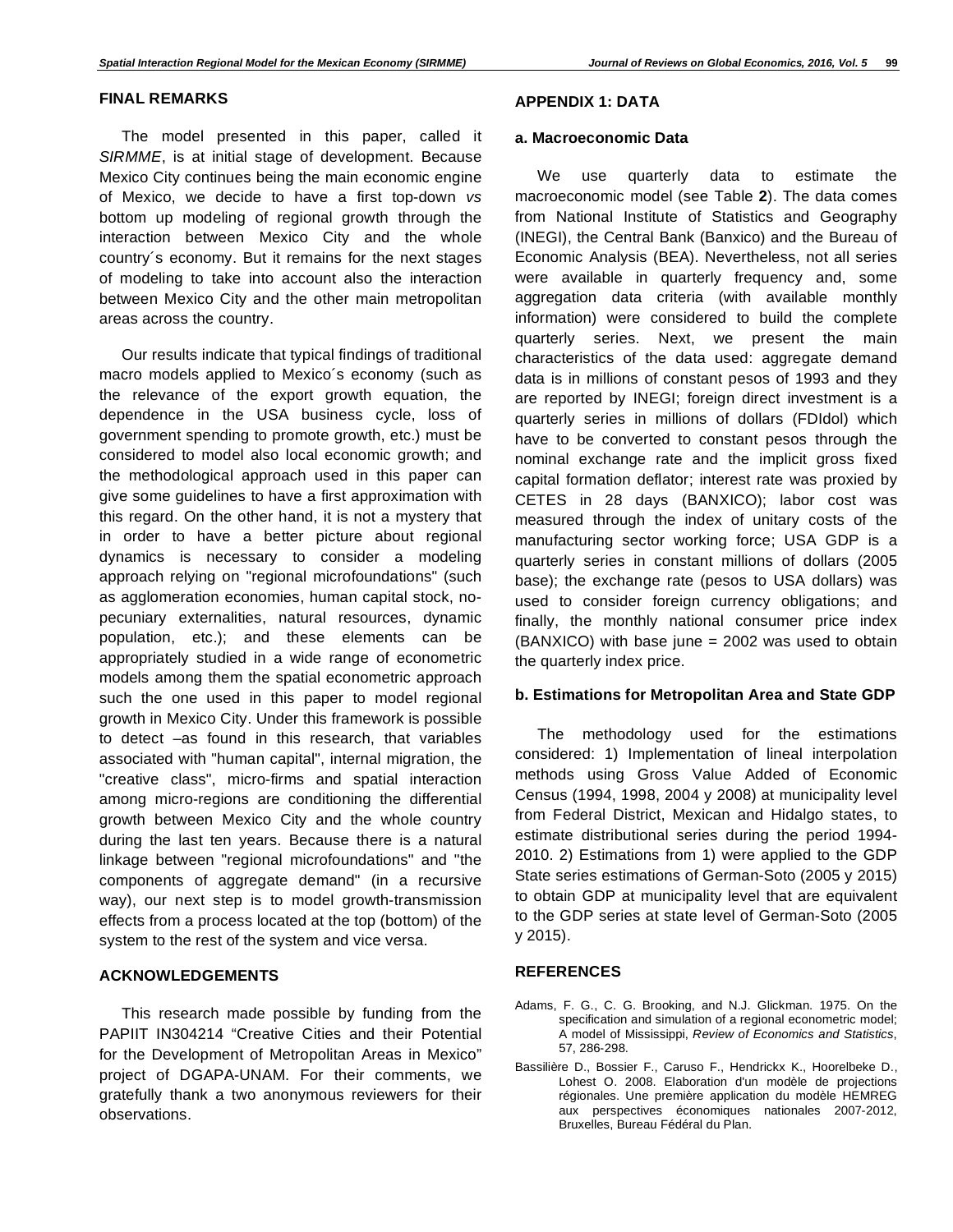#### **FINAL REMARKS**

The model presented in this paper, called it *SIRMME*, is at initial stage of development. Because Mexico City continues being the main economic engine of Mexico, we decide to have a first top-down *vs* bottom up modeling of regional growth through the interaction between Mexico City and the whole country´s economy. But it remains for the next stages of modeling to take into account also the interaction between Mexico City and the other main metropolitan areas across the country.

Our results indicate that typical findings of traditional macro models applied to Mexico´s economy (such as the relevance of the export growth equation, the dependence in the USA business cycle, loss of government spending to promote growth, etc.) must be considered to model also local economic growth; and the methodological approach used in this paper can give some guidelines to have a first approximation with this regard. On the other hand, it is not a mystery that in order to have a better picture about regional dynamics is necessary to consider a modeling approach relying on "regional microfoundations" (such as agglomeration economies, human capital stock, nopecuniary externalities, natural resources, dynamic population, etc.); and these elements can be appropriately studied in a wide range of econometric models among them the spatial econometric approach such the one used in this paper to model regional growth in Mexico City. Under this framework is possible to detect –as found in this research, that variables associated with "human capital", internal migration, the "creative class", micro-firms and spatial interaction among micro-regions are conditioning the differential growth between Mexico City and the whole country during the last ten years. Because there is a natural linkage between "regional microfoundations" and "the components of aggregate demand" (in a recursive way), our next step is to model growth-transmission effects from a process located at the top (bottom) of the system to the rest of the system and vice versa.

# **ACKNOWLEDGEMENTS**

This research made possible by funding from the PAPIIT IN304214 "Creative Cities and their Potential for the Development of Metropolitan Areas in Mexico" project of DGAPA-UNAM. For their comments, we gratefully thank a two anonymous reviewers for their observations.

# **APPENDIX 1: DATA**

#### **a. Macroeconomic Data**

We use quarterly data to estimate the macroeconomic model (see Table **2**). The data comes from National Institute of Statistics and Geography (INEGI), the Central Bank (Banxico) and the Bureau of Economic Analysis (BEA). Nevertheless, not all series were available in quarterly frequency and, some aggregation data criteria (with available monthly information) were considered to build the complete quarterly series. Next, we present the main characteristics of the data used: aggregate demand data is in millions of constant pesos of 1993 and they are reported by INEGI; foreign direct investment is a quarterly series in millions of dollars (FDIdol) which have to be converted to constant pesos through the nominal exchange rate and the implicit gross fixed capital formation deflator; interest rate was proxied by CETES in 28 days (BANXICO); labor cost was measured through the index of unitary costs of the manufacturing sector working force; USA GDP is a quarterly series in constant millions of dollars (2005 base); the exchange rate (pesos to USA dollars) was used to consider foreign currency obligations; and finally, the monthly national consumer price index (BANXICO) with base june = 2002 was used to obtain the quarterly index price.

## **b. Estimations for Metropolitan Area and State GDP**

The methodology used for the estimations considered: 1) Implementation of lineal interpolation methods using Gross Value Added of Economic Census (1994, 1998, 2004 y 2008) at municipality level from Federal District, Mexican and Hidalgo states, to estimate distributional series during the period 1994- 2010. 2) Estimations from 1) were applied to the GDP State series estimations of German-Soto (2005 y 2015) to obtain GDP at municipality level that are equivalent to the GDP series at state level of German-Soto (2005 y 2015).

# **REFERENCES**

- Adams, F. G., C. G. Brooking, and N.J. Glickman. 1975. On the specification and simulation of a regional econometric model; A model of Mississippi, *Review of Economics and Statistics*, 57, 286-298.
- Bassilière D., Bossier F., Caruso F., Hendrickx K., Hoorelbeke D., Lohest O. 2008. Elaboration d'un modèle de projections régionales. Une première application du modèle HEMREG aux perspectives économiques nationales 2007-2012, Bruxelles, Bureau Fédéral du Plan.